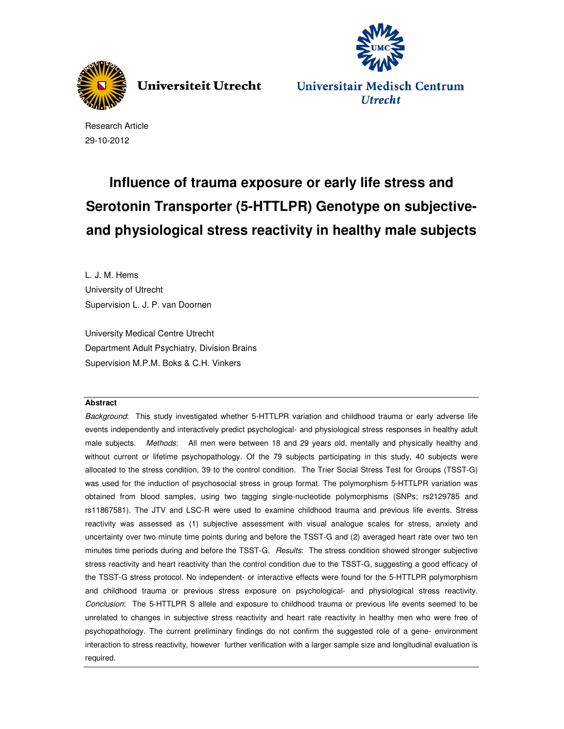

**Universiteit Utrecht** 



Universitair Medisch Centrum **Utrecht** 

Research Article 29-10-2012

# **Influence of trauma exposure or early life stress and Serotonin Transporter (5-HTTLPR) Genotype on subjectiveand physiological stress reactivity in healthy male subjects**

L. J. M. Hems University of Utrecht Supervision L. J. P. van Doornen

University Medical Centre Utrecht Department Adult Psychiatry, Division Brains Supervision M.P.M. Boks & C.H. Vinkers

# **Abstract**

Background: This study investigated whether 5-HTTLPR variation and childhood trauma or early adverse life events independently and interactively predict psychological- and physiological stress responses in healthy adult male subjects. Methods: All men were between 18 and 29 years old, mentally and physically healthy and without current or lifetime psychopathology. Of the 79 subjects participating in this study, 40 subjects were allocated to the stress condition, 39 to the control condition. The Trier Social Stress Test for Groups (TSST-G) was used for the induction of psychosocial stress in group format. The polymorphism 5-HTTLPR variation was obtained from blood samples, using two tagging single-nucleotide polymorphisms (SNPs; rs2129785 and rs11867581). The JTV and LSC-R were used to examine childhood trauma and previous life events. Stress reactivity was assessed as (1) subjective assessment with visual analogue scales for stress, anxiety and uncertainty over two minute time points during and before the TSST-G and (2) averaged heart rate over two ten minutes time periods during and before the TSST-G. Results: The stress condition showed stronger subjective stress reactivity and heart reactivity than the control condition due to the TSST-G, suggesting a good efficacy of the TSST-G stress protocol. No independent- or interactive effects were found for the 5-HTTLPR polymorphism and childhood trauma or previous stress exposure on psychological- and physiological stress reactivity. Conclusion: The 5-HTTLPR S allele and exposure to childhood trauma or previous life events seemed to be unrelated to changes in subjective stress reactivity and heart rate reactivity in healthy men who were free of psychopathology. The current preliminary findings do not confirm the suggested role of a gene- environment interaction to stress reactivity, however further verification with a larger sample size and longitudinal evaluation is required.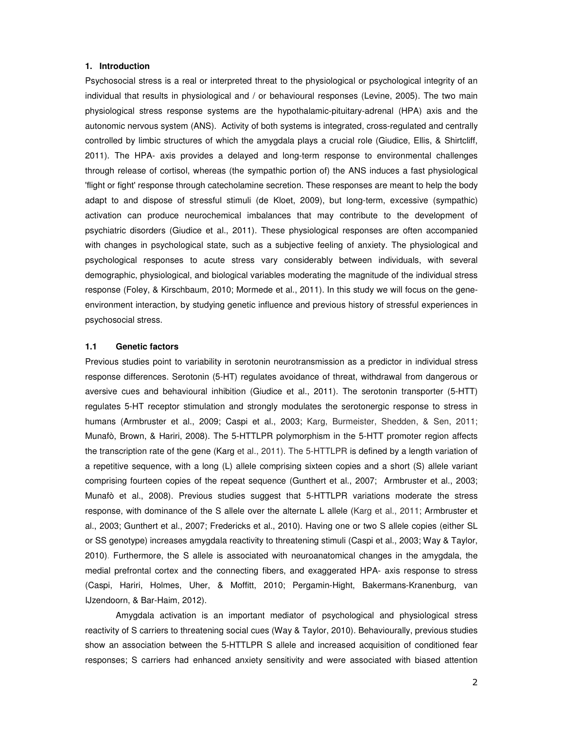# **1. Introduction**

Psychosocial stress is a real or interpreted threat to the physiological or psychological integrity of an individual that results in physiological and / or behavioural responses (Levine, 2005). The two main physiological stress response systems are the hypothalamic-pituitary-adrenal (HPA) axis and the autonomic nervous system (ANS). Activity of both systems is integrated, cross-regulated and centrally controlled by limbic structures of which the amygdala plays a crucial role (Giudice, Ellis, & Shirtcliff, 2011). The HPA- axis provides a delayed and long-term response to environmental challenges through release of cortisol, whereas (the sympathic portion of) the ANS induces a fast physiological 'flight or fight' response through catecholamine secretion. These responses are meant to help the body adapt to and dispose of stressful stimuli (de Kloet, 2009), but long-term, excessive (sympathic) activation can produce neurochemical imbalances that may contribute to the development of psychiatric disorders (Giudice et al., 2011). These physiological responses are often accompanied with changes in psychological state, such as a subjective feeling of anxiety. The physiological and psychological responses to acute stress vary considerably between individuals, with several demographic, physiological, and biological variables moderating the magnitude of the individual stress response (Foley, & Kirschbaum, 2010; Mormede et al., 2011). In this study we will focus on the geneenvironment interaction, by studying genetic influence and previous history of stressful experiences in psychosocial stress.

#### **1.1 Genetic factors**

Previous studies point to variability in serotonin neurotransmission as a predictor in individual stress response differences. Serotonin (5-HT) regulates avoidance of threat, withdrawal from dangerous or aversive cues and behavioural inhibition (Giudice et al., 2011). The serotonin transporter (5-HTT) regulates 5-HT receptor stimulation and strongly modulates the serotonergic response to stress in humans (Armbruster et al., 2009; Caspi et al., 2003; Karg, Burmeister, Shedden, & Sen, 2011; Munafò, Brown, & Hariri, 2008). The 5-HTTLPR polymorphism in the 5-HTT promoter region affects the transcription rate of the gene (Karg et al., 2011). The 5-HTTLPR is defined by a length variation of a repetitive sequence, with a long (L) allele comprising sixteen copies and a short (S) allele variant comprising fourteen copies of the repeat sequence (Gunthert et al., 2007; Armbruster et al., 2003; Munafò et al., 2008). Previous studies suggest that 5-HTTLPR variations moderate the stress response, with dominance of the S allele over the alternate L allele (Karg et al., 2011; Armbruster et al., 2003; Gunthert et al., 2007; Fredericks et al., 2010). Having one or two S allele copies (either SL or SS genotype) increases amygdala reactivity to threatening stimuli (Caspi et al., 2003; Way & Taylor, 2010). Furthermore, the S allele is associated with neuroanatomical changes in the amygdala, the medial prefrontal cortex and the connecting fibers, and exaggerated HPA- axis response to stress (Caspi, Hariri, Holmes, Uher, & Moffitt, 2010; Pergamin-Hight, Bakermans-Kranenburg, van IJzendoorn, & Bar-Haim, 2012).

Amygdala activation is an important mediator of psychological and physiological stress reactivity of S carriers to threatening social cues (Way & Taylor, 2010). Behaviourally, previous studies show an association between the 5-HTTLPR S allele and increased acquisition of conditioned fear responses; S carriers had enhanced anxiety sensitivity and were associated with biased attention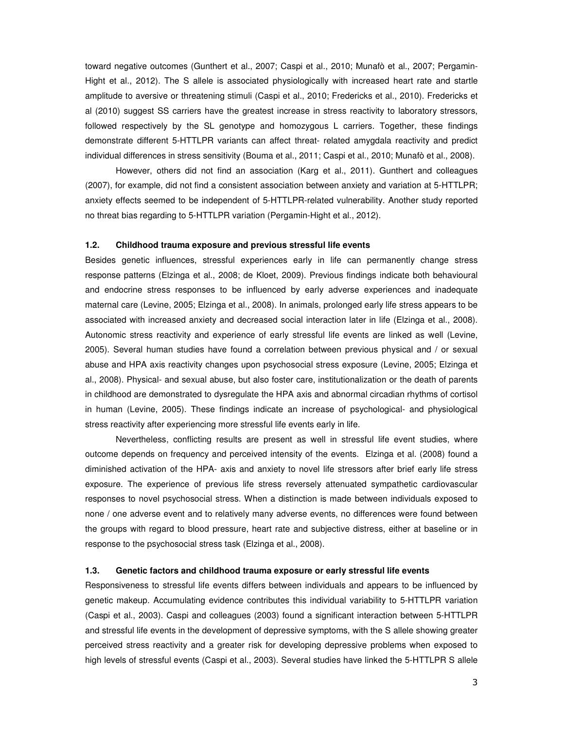toward negative outcomes (Gunthert et al., 2007; Caspi et al., 2010; Munafò et al., 2007; Pergamin-Hight et al., 2012). The S allele is associated physiologically with increased heart rate and startle amplitude to aversive or threatening stimuli (Caspi et al., 2010; Fredericks et al., 2010). Fredericks et al (2010) suggest SS carriers have the greatest increase in stress reactivity to laboratory stressors, followed respectively by the SL genotype and homozygous L carriers. Together, these findings demonstrate different 5-HTTLPR variants can affect threat- related amygdala reactivity and predict individual differences in stress sensitivity (Bouma et al., 2011; Caspi et al., 2010; Munafò et al., 2008).

However, others did not find an association (Karg et al., 2011). Gunthert and colleagues (2007), for example, did not find a consistent association between anxiety and variation at 5-HTTLPR; anxiety effects seemed to be independent of 5-HTTLPR-related vulnerability. Another study reported no threat bias regarding to 5-HTTLPR variation (Pergamin-Hight et al., 2012).

#### **1.2. Childhood trauma exposure and previous stressful life events**

Besides genetic influences, stressful experiences early in life can permanently change stress response patterns (Elzinga et al., 2008; de Kloet, 2009). Previous findings indicate both behavioural and endocrine stress responses to be influenced by early adverse experiences and inadequate maternal care (Levine, 2005; Elzinga et al., 2008). In animals, prolonged early life stress appears to be associated with increased anxiety and decreased social interaction later in life (Elzinga et al., 2008). Autonomic stress reactivity and experience of early stressful life events are linked as well (Levine, 2005). Several human studies have found a correlation between previous physical and / or sexual abuse and HPA axis reactivity changes upon psychosocial stress exposure (Levine, 2005; Elzinga et al., 2008). Physical- and sexual abuse, but also foster care, institutionalization or the death of parents in childhood are demonstrated to dysregulate the HPA axis and abnormal circadian rhythms of cortisol in human (Levine, 2005). These findings indicate an increase of psychological- and physiological stress reactivity after experiencing more stressful life events early in life.

Nevertheless, conflicting results are present as well in stressful life event studies, where outcome depends on frequency and perceived intensity of the events. Elzinga et al. (2008) found a diminished activation of the HPA- axis and anxiety to novel life stressors after brief early life stress exposure. The experience of previous life stress reversely attenuated sympathetic cardiovascular responses to novel psychosocial stress. When a distinction is made between individuals exposed to none / one adverse event and to relatively many adverse events, no differences were found between the groups with regard to blood pressure, heart rate and subjective distress, either at baseline or in response to the psychosocial stress task (Elzinga et al., 2008).

#### **1.3. Genetic factors and childhood trauma exposure or early stressful life events**

Responsiveness to stressful life events differs between individuals and appears to be influenced by genetic makeup. Accumulating evidence contributes this individual variability to 5-HTTLPR variation (Caspi et al., 2003). Caspi and colleagues (2003) found a significant interaction between 5-HTTLPR and stressful life events in the development of depressive symptoms, with the S allele showing greater perceived stress reactivity and a greater risk for developing depressive problems when exposed to high levels of stressful events (Caspi et al., 2003). Several studies have linked the 5-HTTLPR S allele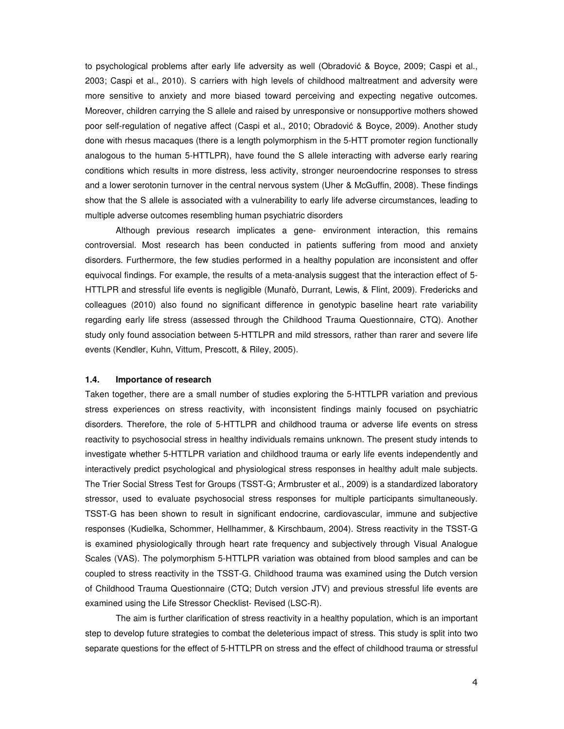to psychological problems after early life adversity as well (Obradović & Boyce, 2009; Caspi et al., 2003; Caspi et al., 2010). S carriers with high levels of childhood maltreatment and adversity were more sensitive to anxiety and more biased toward perceiving and expecting negative outcomes. Moreover, children carrying the S allele and raised by unresponsive or nonsupportive mothers showed poor self-regulation of negative affect (Caspi et al., 2010; Obradović & Boyce, 2009). Another study done with rhesus macaques (there is a length polymorphism in the 5-HTT promoter region functionally analogous to the human 5-HTTLPR), have found the S allele interacting with adverse early rearing conditions which results in more distress, less activity, stronger neuroendocrine responses to stress and a lower serotonin turnover in the central nervous system (Uher & McGuffin, 2008). These findings show that the S allele is associated with a vulnerability to early life adverse circumstances, leading to multiple adverse outcomes resembling human psychiatric disorders

Although previous research implicates a gene- environment interaction, this remains controversial. Most research has been conducted in patients suffering from mood and anxiety disorders. Furthermore, the few studies performed in a healthy population are inconsistent and offer equivocal findings. For example, the results of a meta-analysis suggest that the interaction effect of 5- HTTLPR and stressful life events is negligible (Munafò, Durrant, Lewis, & Flint, 2009). Fredericks and colleagues (2010) also found no significant difference in genotypic baseline heart rate variability regarding early life stress (assessed through the Childhood Trauma Questionnaire, CTQ). Another study only found association between 5-HTTLPR and mild stressors, rather than rarer and severe life events (Kendler, Kuhn, Vittum, Prescott, & Riley, 2005).

# **1.4. Importance of research**

Taken together, there are a small number of studies exploring the 5-HTTLPR variation and previous stress experiences on stress reactivity, with inconsistent findings mainly focused on psychiatric disorders. Therefore, the role of 5-HTTLPR and childhood trauma or adverse life events on stress reactivity to psychosocial stress in healthy individuals remains unknown. The present study intends to investigate whether 5-HTTLPR variation and childhood trauma or early life events independently and interactively predict psychological and physiological stress responses in healthy adult male subjects. The Trier Social Stress Test for Groups (TSST-G; Armbruster et al., 2009) is a standardized laboratory stressor, used to evaluate psychosocial stress responses for multiple participants simultaneously. TSST-G has been shown to result in significant endocrine, cardiovascular, immune and subjective responses (Kudielka, Schommer, Hellhammer, & Kirschbaum, 2004). Stress reactivity in the TSST-G is examined physiologically through heart rate frequency and subjectively through Visual Analogue Scales (VAS). The polymorphism 5-HTTLPR variation was obtained from blood samples and can be coupled to stress reactivity in the TSST-G. Childhood trauma was examined using the Dutch version of Childhood Trauma Questionnaire (CTQ; Dutch version JTV) and previous stressful life events are examined using the Life Stressor Checklist- Revised (LSC-R).

The aim is further clarification of stress reactivity in a healthy population, which is an important step to develop future strategies to combat the deleterious impact of stress. This study is split into two separate questions for the effect of 5-HTTLPR on stress and the effect of childhood trauma or stressful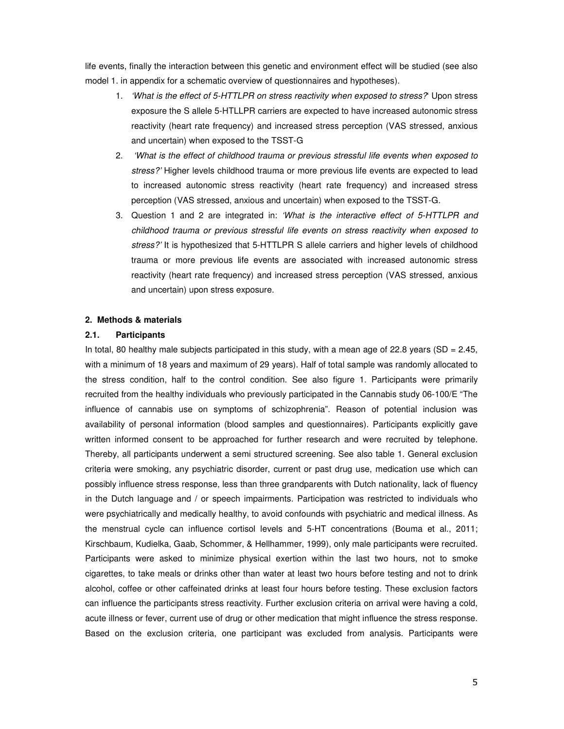life events, finally the interaction between this genetic and environment effect will be studied (see also model 1. in appendix for a schematic overview of questionnaires and hypotheses).

- 1. *'What is the effect of 5-HTTLPR on stress reactivity when exposed to stress?*' Upon stress exposure the S allele 5-HTLLPR carriers are expected to have increased autonomic stress reactivity (heart rate frequency) and increased stress perception (VAS stressed, anxious and uncertain) when exposed to the TSST-G
- 2. 'What is the effect of childhood trauma or previous stressful life events when exposed to stress?' Higher levels childhood trauma or more previous life events are expected to lead to increased autonomic stress reactivity (heart rate frequency) and increased stress perception (VAS stressed, anxious and uncertain) when exposed to the TSST-G.
- 3. Question 1 and 2 are integrated in: 'What is the interactive effect of 5-HTTLPR and childhood trauma or previous stressful life events on stress reactivity when exposed to stress?' It is hypothesized that 5-HTTLPR S allele carriers and higher levels of childhood trauma or more previous life events are associated with increased autonomic stress reactivity (heart rate frequency) and increased stress perception (VAS stressed, anxious and uncertain) upon stress exposure.

# **2. Methods & materials**

# **2.1. Participants**

In total, 80 healthy male subjects participated in this study, with a mean age of 22.8 years (SD = 2.45, with a minimum of 18 years and maximum of 29 years). Half of total sample was randomly allocated to the stress condition, half to the control condition. See also figure 1. Participants were primarily recruited from the healthy individuals who previously participated in the Cannabis study 06-100/E "The influence of cannabis use on symptoms of schizophrenia". Reason of potential inclusion was availability of personal information (blood samples and questionnaires). Participants explicitly gave written informed consent to be approached for further research and were recruited by telephone. Thereby, all participants underwent a semi structured screening. See also table 1. General exclusion criteria were smoking, any psychiatric disorder, current or past drug use, medication use which can possibly influence stress response, less than three grandparents with Dutch nationality, lack of fluency in the Dutch language and / or speech impairments. Participation was restricted to individuals who were psychiatrically and medically healthy, to avoid confounds with psychiatric and medical illness. As the menstrual cycle can influence cortisol levels and 5-HT concentrations (Bouma et al., 2011; Kirschbaum, Kudielka, Gaab, Schommer, & Hellhammer, 1999), only male participants were recruited. Participants were asked to minimize physical exertion within the last two hours, not to smoke cigarettes, to take meals or drinks other than water at least two hours before testing and not to drink alcohol, coffee or other caffeinated drinks at least four hours before testing. These exclusion factors can influence the participants stress reactivity. Further exclusion criteria on arrival were having a cold, acute illness or fever, current use of drug or other medication that might influence the stress response. Based on the exclusion criteria, one participant was excluded from analysis. Participants were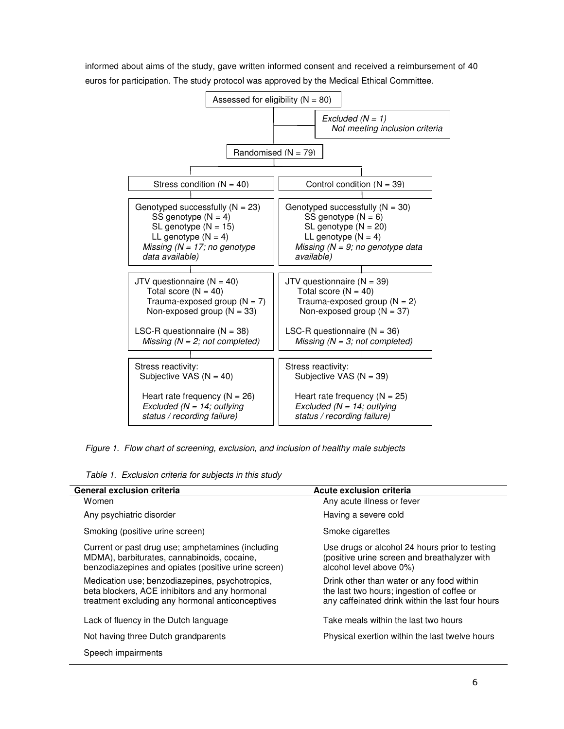

informed about aims of the study, gave written informed consent and received a reimbursement of 40 euros for participation. The study protocol was approved by the Medical Ethical Committee.

Figure 1. Flow chart of screening, exclusion, and inclusion of healthy male subjects

| Table 1. Exclusion criteria for subjects in this study |  |  |  |  |  |  |  |
|--------------------------------------------------------|--|--|--|--|--|--|--|
|--------------------------------------------------------|--|--|--|--|--|--|--|

| <b>General exclusion criteria</b>                                                                                                                       | Acute exclusion criteria                                                                                                                    |  |  |  |  |
|---------------------------------------------------------------------------------------------------------------------------------------------------------|---------------------------------------------------------------------------------------------------------------------------------------------|--|--|--|--|
| Women                                                                                                                                                   | Any acute illness or fever                                                                                                                  |  |  |  |  |
| Any psychiatric disorder                                                                                                                                | Having a severe cold                                                                                                                        |  |  |  |  |
| Smoking (positive urine screen)                                                                                                                         | Smoke cigarettes                                                                                                                            |  |  |  |  |
| Current or past drug use; amphetamines (including<br>MDMA), barbiturates, cannabinoids, cocaine,<br>benzodiazepines and opiates (positive urine screen) | Use drugs or alcohol 24 hours prior to testing<br>(positive urine screen and breathalyzer with<br>alcohol level above 0%)                   |  |  |  |  |
| Medication use; benzodiazepines, psychotropics,<br>beta blockers, ACE inhibitors and any hormonal<br>treatment excluding any hormonal anticonceptives   | Drink other than water or any food within<br>the last two hours; ingestion of coffee or<br>any caffeinated drink within the last four hours |  |  |  |  |
| Lack of fluency in the Dutch language                                                                                                                   | Take meals within the last two hours                                                                                                        |  |  |  |  |
| Not having three Dutch grandparents                                                                                                                     | Physical exertion within the last twelve hours                                                                                              |  |  |  |  |
| Speech impairments                                                                                                                                      |                                                                                                                                             |  |  |  |  |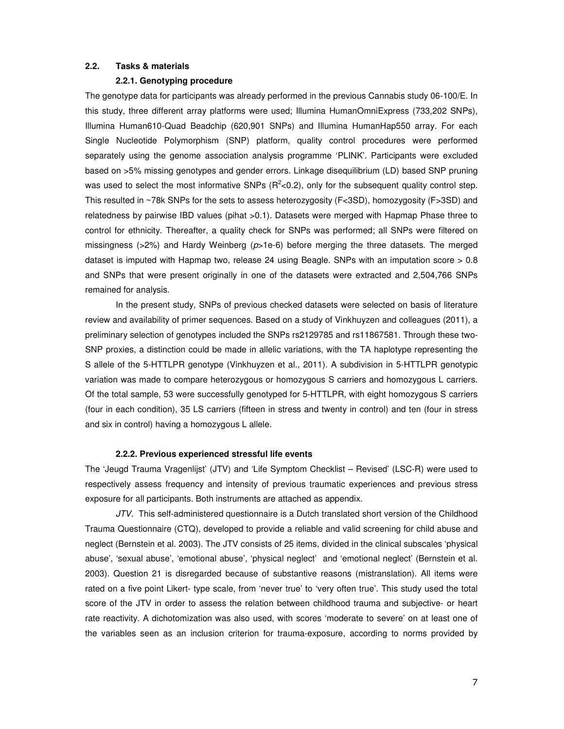# **2.2. Tasks & materials**

#### **2.2.1. Genotyping procedure**

The genotype data for participants was already performed in the previous Cannabis study 06-100/E. In this study, three different array platforms were used; Illumina HumanOmniExpress (733,202 SNPs), Illumina Human610-Quad Beadchip (620,901 SNPs) and Illumina HumanHap550 array. For each Single Nucleotide Polymorphism (SNP) platform, quality control procedures were performed separately using the genome association analysis programme 'PLINK'. Participants were excluded based on >5% missing genotypes and gender errors. Linkage disequilibrium (LD) based SNP pruning was used to select the most informative SNPs  $(R^2<0.2)$ , only for the subsequent quality control step. This resulted in ~78k SNPs for the sets to assess heterozygosity (F<3SD), homozygosity (F>3SD) and relatedness by pairwise IBD values (pihat >0.1). Datasets were merged with Hapmap Phase three to control for ethnicity. Thereafter, a quality check for SNPs was performed; all SNPs were filtered on missingness ( $>2\%$ ) and Hardy Weinberg ( $p>1e-6$ ) before merging the three datasets. The merged dataset is imputed with Hapmap two, release 24 using Beagle. SNPs with an imputation score > 0.8 and SNPs that were present originally in one of the datasets were extracted and 2,504,766 SNPs remained for analysis.

In the present study, SNPs of previous checked datasets were selected on basis of literature review and availability of primer sequences. Based on a study of Vinkhuyzen and colleagues (2011), a preliminary selection of genotypes included the SNPs rs2129785 and rs11867581. Through these two-SNP proxies, a distinction could be made in allelic variations, with the TA haplotype representing the S allele of the 5-HTTLPR genotype (Vinkhuyzen et al., 2011). A subdivision in 5-HTTLPR genotypic variation was made to compare heterozygous or homozygous S carriers and homozygous L carriers. Of the total sample, 53 were successfully genotyped for 5-HTTLPR, with eight homozygous S carriers (four in each condition), 35 LS carriers (fifteen in stress and twenty in control) and ten (four in stress and six in control) having a homozygous L allele.

#### **2.2.2. Previous experienced stressful life events**

The 'Jeugd Trauma Vragenlijst' (JTV) and 'Life Symptom Checklist – Revised' (LSC-R) were used to respectively assess frequency and intensity of previous traumatic experiences and previous stress exposure for all participants. Both instruments are attached as appendix.

JTV. This self-administered questionnaire is a Dutch translated short version of the Childhood Trauma Questionnaire (CTQ), developed to provide a reliable and valid screening for child abuse and neglect (Bernstein et al. 2003). The JTV consists of 25 items, divided in the clinical subscales 'physical abuse', 'sexual abuse', 'emotional abuse', 'physical neglect' and 'emotional neglect' (Bernstein et al. 2003). Question 21 is disregarded because of substantive reasons (mistranslation). All items were rated on a five point Likert- type scale, from 'never true' to 'very often true'. This study used the total score of the JTV in order to assess the relation between childhood trauma and subjective- or heart rate reactivity. A dichotomization was also used, with scores 'moderate to severe' on at least one of the variables seen as an inclusion criterion for trauma-exposure, according to norms provided by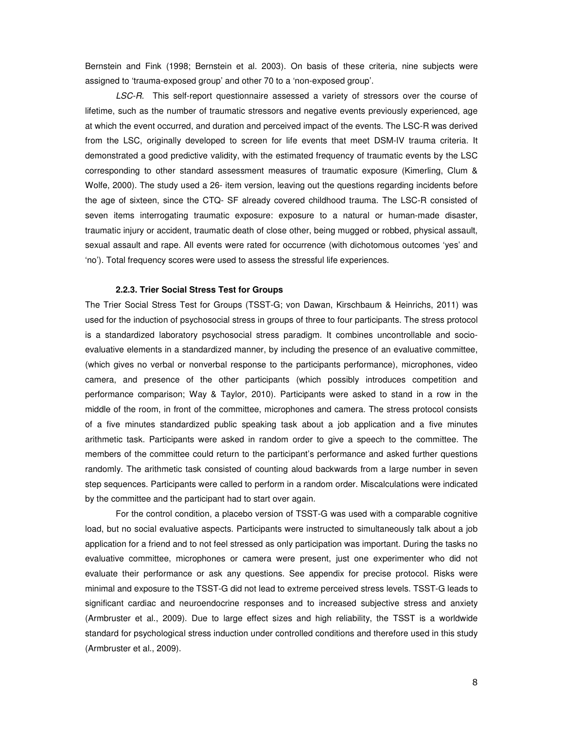Bernstein and Fink (1998; Bernstein et al. 2003). On basis of these criteria, nine subjects were assigned to 'trauma-exposed group' and other 70 to a 'non-exposed group'.

LSC-R. This self-report questionnaire assessed a variety of stressors over the course of lifetime, such as the number of traumatic stressors and negative events previously experienced, age at which the event occurred, and duration and perceived impact of the events. The LSC-R was derived from the LSC, originally developed to screen for life events that meet DSM-IV trauma criteria. It demonstrated a good predictive validity, with the estimated frequency of traumatic events by the LSC corresponding to other standard assessment measures of traumatic exposure (Kimerling, Clum & Wolfe, 2000). The study used a 26- item version, leaving out the questions regarding incidents before the age of sixteen, since the CTQ- SF already covered childhood trauma. The LSC-R consisted of seven items interrogating traumatic exposure: exposure to a natural or human-made disaster, traumatic injury or accident, traumatic death of close other, being mugged or robbed, physical assault, sexual assault and rape. All events were rated for occurrence (with dichotomous outcomes 'yes' and 'no'). Total frequency scores were used to assess the stressful life experiences.

#### **2.2.3. Trier Social Stress Test for Groups**

The Trier Social Stress Test for Groups (TSST-G; von Dawan, Kirschbaum & Heinrichs, 2011) was used for the induction of psychosocial stress in groups of three to four participants. The stress protocol is a standardized laboratory psychosocial stress paradigm. It combines uncontrollable and socioevaluative elements in a standardized manner, by including the presence of an evaluative committee, (which gives no verbal or nonverbal response to the participants performance), microphones, video camera, and presence of the other participants (which possibly introduces competition and performance comparison; Way & Taylor, 2010). Participants were asked to stand in a row in the middle of the room, in front of the committee, microphones and camera. The stress protocol consists of a five minutes standardized public speaking task about a job application and a five minutes arithmetic task. Participants were asked in random order to give a speech to the committee. The members of the committee could return to the participant's performance and asked further questions randomly. The arithmetic task consisted of counting aloud backwards from a large number in seven step sequences. Participants were called to perform in a random order. Miscalculations were indicated by the committee and the participant had to start over again.

For the control condition, a placebo version of TSST-G was used with a comparable cognitive load, but no social evaluative aspects. Participants were instructed to simultaneously talk about a job application for a friend and to not feel stressed as only participation was important. During the tasks no evaluative committee, microphones or camera were present, just one experimenter who did not evaluate their performance or ask any questions. See appendix for precise protocol. Risks were minimal and exposure to the TSST-G did not lead to extreme perceived stress levels. TSST-G leads to significant cardiac and neuroendocrine responses and to increased subjective stress and anxiety (Armbruster et al., 2009). Due to large effect sizes and high reliability, the TSST is a worldwide standard for psychological stress induction under controlled conditions and therefore used in this study (Armbruster et al., 2009).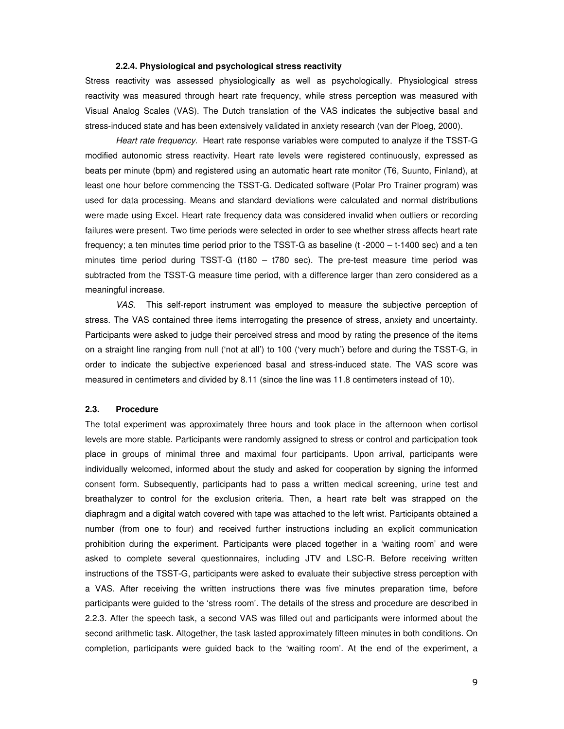### **2.2.4. Physiological and psychological stress reactivity**

Stress reactivity was assessed physiologically as well as psychologically. Physiological stress reactivity was measured through heart rate frequency, while stress perception was measured with Visual Analog Scales (VAS). The Dutch translation of the VAS indicates the subjective basal and stress-induced state and has been extensively validated in anxiety research (van der Ploeg, 2000).

Heart rate frequency. Heart rate response variables were computed to analyze if the TSST-G modified autonomic stress reactivity. Heart rate levels were registered continuously, expressed as beats per minute (bpm) and registered using an automatic heart rate monitor (T6, Suunto, Finland), at least one hour before commencing the TSST-G. Dedicated software (Polar Pro Trainer program) was used for data processing. Means and standard deviations were calculated and normal distributions were made using Excel. Heart rate frequency data was considered invalid when outliers or recording failures were present. Two time periods were selected in order to see whether stress affects heart rate frequency; a ten minutes time period prior to the TSST-G as baseline (t -2000 – t-1400 sec) and a ten minutes time period during TSST-G (t180 – t780 sec). The pre-test measure time period was subtracted from the TSST-G measure time period, with a difference larger than zero considered as a meaningful increase.

VAS. This self-report instrument was employed to measure the subjective perception of stress. The VAS contained three items interrogating the presence of stress, anxiety and uncertainty. Participants were asked to judge their perceived stress and mood by rating the presence of the items on a straight line ranging from null ('not at all') to 100 ('very much') before and during the TSST-G, in order to indicate the subjective experienced basal and stress-induced state. The VAS score was measured in centimeters and divided by 8.11 (since the line was 11.8 centimeters instead of 10).

# **2.3. Procedure**

The total experiment was approximately three hours and took place in the afternoon when cortisol levels are more stable. Participants were randomly assigned to stress or control and participation took place in groups of minimal three and maximal four participants. Upon arrival, participants were individually welcomed, informed about the study and asked for cooperation by signing the informed consent form. Subsequently, participants had to pass a written medical screening, urine test and breathalyzer to control for the exclusion criteria. Then, a heart rate belt was strapped on the diaphragm and a digital watch covered with tape was attached to the left wrist. Participants obtained a number (from one to four) and received further instructions including an explicit communication prohibition during the experiment. Participants were placed together in a 'waiting room' and were asked to complete several questionnaires, including JTV and LSC-R. Before receiving written instructions of the TSST-G, participants were asked to evaluate their subjective stress perception with a VAS. After receiving the written instructions there was five minutes preparation time, before participants were guided to the 'stress room'. The details of the stress and procedure are described in 2.2.3. After the speech task, a second VAS was filled out and participants were informed about the second arithmetic task. Altogether, the task lasted approximately fifteen minutes in both conditions. On completion, participants were guided back to the 'waiting room'. At the end of the experiment, a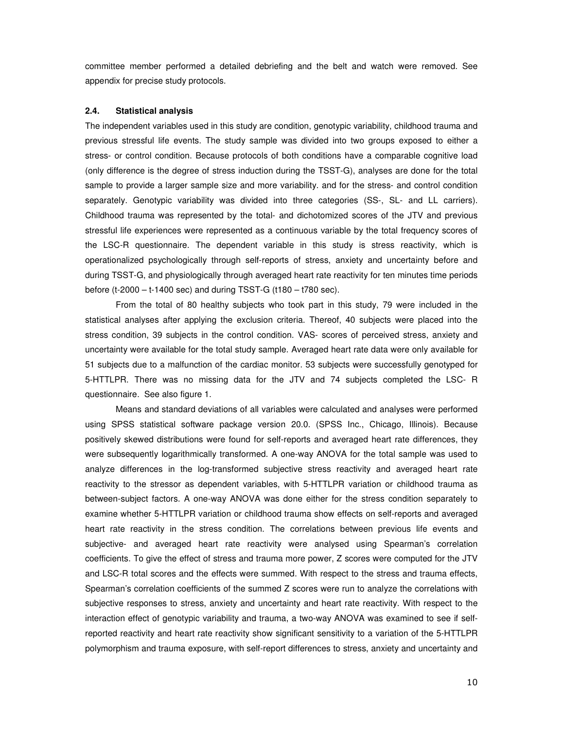committee member performed a detailed debriefing and the belt and watch were removed. See appendix for precise study protocols.

# **2.4. Statistical analysis**

The independent variables used in this study are condition, genotypic variability, childhood trauma and previous stressful life events. The study sample was divided into two groups exposed to either a stress- or control condition. Because protocols of both conditions have a comparable cognitive load (only difference is the degree of stress induction during the TSST-G), analyses are done for the total sample to provide a larger sample size and more variability. and for the stress- and control condition separately. Genotypic variability was divided into three categories (SS-, SL- and LL carriers). Childhood trauma was represented by the total- and dichotomized scores of the JTV and previous stressful life experiences were represented as a continuous variable by the total frequency scores of the LSC-R questionnaire. The dependent variable in this study is stress reactivity, which is operationalized psychologically through self-reports of stress, anxiety and uncertainty before and during TSST-G, and physiologically through averaged heart rate reactivity for ten minutes time periods before (t-2000 – t-1400 sec) and during TSST-G (t180 – t780 sec).

From the total of 80 healthy subjects who took part in this study, 79 were included in the statistical analyses after applying the exclusion criteria. Thereof, 40 subjects were placed into the stress condition, 39 subjects in the control condition. VAS- scores of perceived stress, anxiety and uncertainty were available for the total study sample. Averaged heart rate data were only available for 51 subjects due to a malfunction of the cardiac monitor. 53 subjects were successfully genotyped for 5-HTTLPR. There was no missing data for the JTV and 74 subjects completed the LSC- R questionnaire. See also figure 1.

Means and standard deviations of all variables were calculated and analyses were performed using SPSS statistical software package version 20.0. (SPSS Inc., Chicago, Illinois). Because positively skewed distributions were found for self-reports and averaged heart rate differences, they were subsequently logarithmically transformed. A one-way ANOVA for the total sample was used to analyze differences in the log-transformed subjective stress reactivity and averaged heart rate reactivity to the stressor as dependent variables, with 5-HTTLPR variation or childhood trauma as between-subject factors. A one-way ANOVA was done either for the stress condition separately to examine whether 5-HTTLPR variation or childhood trauma show effects on self-reports and averaged heart rate reactivity in the stress condition. The correlations between previous life events and subjective- and averaged heart rate reactivity were analysed using Spearman's correlation coefficients. To give the effect of stress and trauma more power, Z scores were computed for the JTV and LSC-R total scores and the effects were summed. With respect to the stress and trauma effects, Spearman's correlation coefficients of the summed Z scores were run to analyze the correlations with subjective responses to stress, anxiety and uncertainty and heart rate reactivity. With respect to the interaction effect of genotypic variability and trauma, a two-way ANOVA was examined to see if selfreported reactivity and heart rate reactivity show significant sensitivity to a variation of the 5-HTTLPR polymorphism and trauma exposure, with self-report differences to stress, anxiety and uncertainty and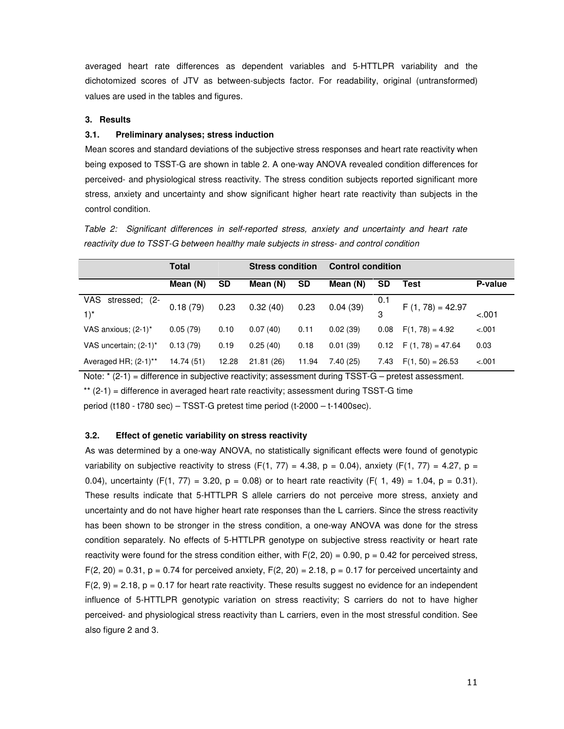averaged heart rate differences as dependent variables and 5-HTTLPR variability and the dichotomized scores of JTV as between-subjects factor. For readability, original (untransformed) values are used in the tables and figures.

# **3. Results**

# **3.1. Preliminary analyses; stress induction**

Mean scores and standard deviations of the subjective stress responses and heart rate reactivity when being exposed to TSST-G are shown in table 2. A one-way ANOVA revealed condition differences for perceived- and physiological stress reactivity. The stress condition subjects reported significant more stress, anxiety and uncertainty and show significant higher heart rate reactivity than subjects in the control condition.

Table 2: Significant differences in self-reported stress, anxiety and uncertainty and heart rate reactivity due to TSST-G between healthy male subjects in stress- and control condition

|                         | <b>Total</b> |       | <b>Stress condition</b> |           | <b>Control condition</b> |      |                            |         |
|-------------------------|--------------|-------|-------------------------|-----------|--------------------------|------|----------------------------|---------|
|                         | Mean (N)     | SD    | Mean (N)                | <b>SD</b> | Mean (N)                 | SD   | Test                       | P-value |
| VAS.<br>stressed; (2-   | 0.18(79)     | 0.23  | 0.32(40)                | 0.23      | 0.04(39)                 | 0.1  | $F(1, 78) = 42.97$         |         |
| $1)^*$                  |              |       |                         |           |                          | 3    |                            | $-.001$ |
| VAS anxious; (2-1)*     | 0.05(79)     | 0.10  | 0.07(40)                | 0.11      | 0.02(39)                 | 0.08 | $F(1, 78) = 4.92$          | $-.001$ |
| VAS uncertain; (2-1)*   | 0.13(79)     | 0.19  | 0.25(40)                | 0.18      | 0.01(39)                 |      | $0.12$ F $(1, 78) = 47.64$ | 0.03    |
| Averaged HR; $(2-1)$ ** | 14.74 (51)   | 12.28 | 21.81(26)               | 11.94     | 7.40(25)                 | 7.43 | $F(1, 50) = 26.53$         | $-.001$ |

Note: \* (2-1) = difference in subjective reactivity; assessment during TSST-G – pretest assessment.

\*\* (2-1) = difference in averaged heart rate reactivity; assessment during TSST-G time

period (t180 - t780 sec) – TSST-G pretest time period (t-2000 – t-1400sec).

# **3.2. Effect of genetic variability on stress reactivity**

As was determined by a one-way ANOVA, no statistically significant effects were found of genotypic variability on subjective reactivity to stress (F(1, 77) = 4.38, p = 0.04), anxiety (F(1, 77) = 4.27, p = 0.04), uncertainty (F(1, 77) = 3.20, p = 0.08) or to heart rate reactivity (F( 1, 49) = 1.04, p = 0.31). These results indicate that 5-HTTLPR S allele carriers do not perceive more stress, anxiety and uncertainty and do not have higher heart rate responses than the L carriers. Since the stress reactivity has been shown to be stronger in the stress condition, a one-way ANOVA was done for the stress condition separately. No effects of 5-HTTLPR genotype on subjective stress reactivity or heart rate reactivity were found for the stress condition either, with  $F(2, 20) = 0.90$ ,  $p = 0.42$  for perceived stress,  $F(2, 20) = 0.31$ , p = 0.74 for perceived anxiety,  $F(2, 20) = 2.18$ , p = 0.17 for perceived uncertainty and  $F(2, 9) = 2.18$ ,  $p = 0.17$  for heart rate reactivity. These results suggest no evidence for an independent influence of 5-HTTLPR genotypic variation on stress reactivity; S carriers do not to have higher perceived- and physiological stress reactivity than L carriers, even in the most stressful condition. See also figure 2 and 3.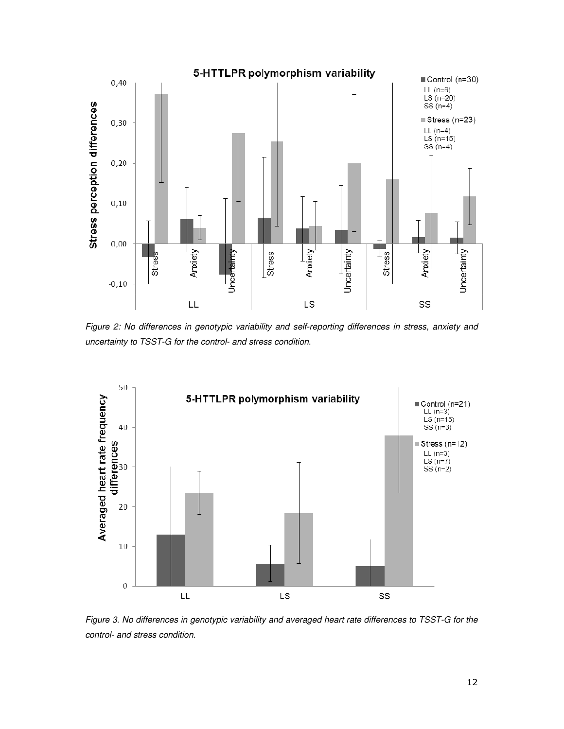

Figure 2: No differences in genotypic variability and self-reporting differences in stress, anxiety and uncertainty to TSST-G for the control- and stress condition.



Figure 3. No differences in genotypic variability and averaged heart rate differences to TSST-G for the control- and stress condition.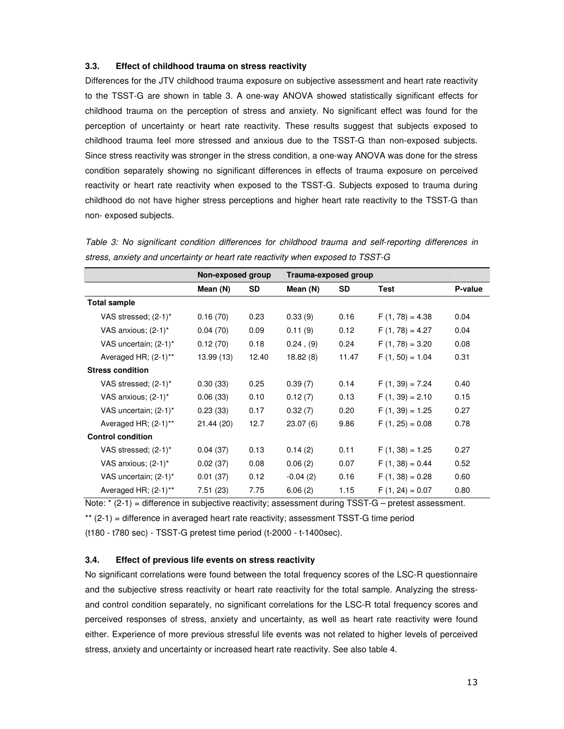# **3.3. Effect of childhood trauma on stress reactivity**

Differences for the JTV childhood trauma exposure on subjective assessment and heart rate reactivity to the TSST-G are shown in table 3. A one-way ANOVA showed statistically significant effects for childhood trauma on the perception of stress and anxiety. No significant effect was found for the perception of uncertainty or heart rate reactivity. These results suggest that subjects exposed to childhood trauma feel more stressed and anxious due to the TSST-G than non-exposed subjects. Since stress reactivity was stronger in the stress condition, a one-way ANOVA was done for the stress condition separately showing no significant differences in effects of trauma exposure on perceived reactivity or heart rate reactivity when exposed to the TSST-G. Subjects exposed to trauma during childhood do not have higher stress perceptions and higher heart rate reactivity to the TSST-G than non- exposed subjects.

|                          | Non-exposed group |           |                | Trauma-exposed group |                   |         |  |
|--------------------------|-------------------|-----------|----------------|----------------------|-------------------|---------|--|
|                          | Mean (N)          | <b>SD</b> | Mean (N)       | <b>SD</b>            | Test              | P-value |  |
| <b>Total sample</b>      |                   |           |                |                      |                   |         |  |
| VAS stressed; $(2-1)^*$  | 0.16(70)          | 0.23      | 0.33(9)        | 0.16                 | $F(1, 78) = 4.38$ | 0.04    |  |
| VAS anxious; (2-1)*      | 0.04(70)          | 0.09      | 0.11(9)        | 0.12                 | $F(1, 78) = 4.27$ | 0.04    |  |
| VAS uncertain; (2-1)*    | 0.12(70)          | 0.18      | $0.24$ , $(9)$ | 0.24                 | $F(1, 78) = 3.20$ | 0.08    |  |
| Averaged HR; $(2-1)$ **  | 13.99 (13)        | 12.40     | 18.82(8)       | 11.47                | $F(1, 50) = 1.04$ | 0.31    |  |
| <b>Stress condition</b>  |                   |           |                |                      |                   |         |  |
| VAS stressed; (2-1)*     | 0.30(33)          | 0.25      | 0.39(7)        | 0.14                 | $F(1, 39) = 7.24$ | 0.40    |  |
| VAS anxious; (2-1)*      | 0.06(33)          | 0.10      | 0.12(7)        | 0.13                 | $F(1, 39) = 2.10$ | 0.15    |  |
| VAS uncertain; (2-1)*    | 0.23(33)          | 0.17      | 0.32(7)        | 0.20                 | $F(1, 39) = 1.25$ | 0.27    |  |
| Averaged HR; $(2-1)$ **  | 21.44 (20)        | 12.7      | 23.07(6)       | 9.86                 | $F(1, 25) = 0.08$ | 0.78    |  |
| <b>Control condition</b> |                   |           |                |                      |                   |         |  |
| VAS stressed; $(2-1)^*$  | 0.04(37)          | 0.13      | 0.14(2)        | 0.11                 | $F(1, 38) = 1.25$ | 0.27    |  |
| VAS anxious; (2-1)*      | 0.02(37)          | 0.08      | 0.06(2)        | 0.07                 | $F(1, 38) = 0.44$ | 0.52    |  |
| VAS uncertain; $(2-1)^*$ | 0.01(37)          | 0.12      | $-0.04(2)$     | 0.16                 | $F(1, 38) = 0.28$ | 0.60    |  |
| Averaged HR; (2-1)**     | 7.51(23)          | 7.75      | 6.06(2)        | 1.15                 | $F(1, 24) = 0.07$ | 0.80    |  |

Table 3: No significant condition differences for childhood trauma and self-reporting differences in stress, anxiety and uncertainty or heart rate reactivity when exposed to TSST-G

Note: \* (2-1) = difference in subjective reactivity; assessment during TSST-G – pretest assessment.

\*\* (2-1) = difference in averaged heart rate reactivity; assessment TSST-G time period

(t180 - t780 sec) - TSST-G pretest time period (t-2000 - t-1400sec).

# **3.4. Effect of previous life events on stress reactivity**

No significant correlations were found between the total frequency scores of the LSC-R questionnaire and the subjective stress reactivity or heart rate reactivity for the total sample. Analyzing the stressand control condition separately, no significant correlations for the LSC-R total frequency scores and perceived responses of stress, anxiety and uncertainty, as well as heart rate reactivity were found either. Experience of more previous stressful life events was not related to higher levels of perceived stress, anxiety and uncertainty or increased heart rate reactivity. See also table 4.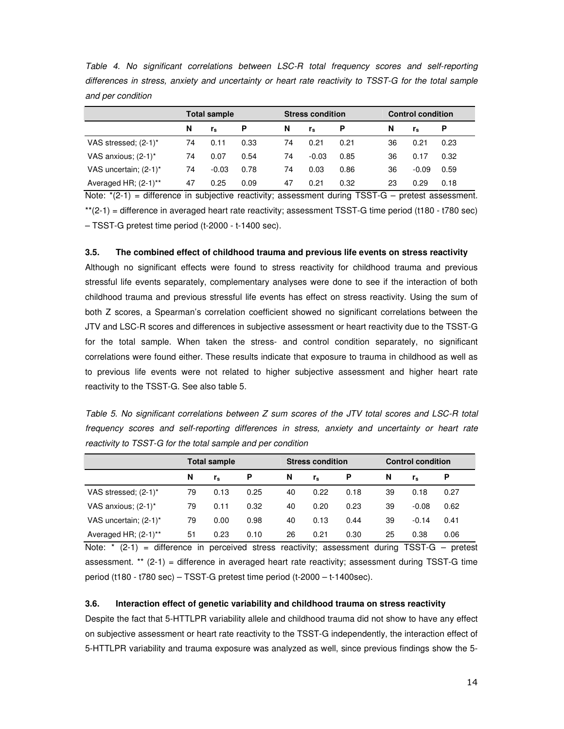| and per condition                  |    |                     |      |    |                         |      |    |                          |          |  |
|------------------------------------|----|---------------------|------|----|-------------------------|------|----|--------------------------|----------|--|
|                                    |    | <b>Total sample</b> |      |    | <b>Stress condition</b> |      |    | <b>Control condition</b> |          |  |
|                                    | N  | r,                  | P    | N  | $r_{\rm s}$             | P    | N  | r.                       | <b>P</b> |  |
| VAS stressed; (2-1)*               | 74 | 0.11                | 0.33 | 74 | 0.21                    | 0.21 | 36 | 0.21                     | 0.23     |  |
| VAS anxious; $(2-1)^*$             | 74 | 0.07                | 0.54 | 74 | $-0.03$                 | 0.85 | 36 | 0.17                     | 0.32     |  |
| VAS uncertain; (2-1)*              | 74 | $-0.03$             | 0.78 | 74 | 0.03                    | 0.86 | 36 | $-0.09$                  | 0.59     |  |
| Averaged HR; $(2-1)$ <sup>**</sup> | 47 | 0.25                | 0.09 | 47 | 0.21                    | 0.32 | 23 | 0.29                     | 0.18     |  |

Table 4. No significant correlations between LSC-R total frequency scores and self-reporting differences in stress, anxiety and uncertainty or heart rate reactivity to TSST-G for the total sample and per condition

Note:  $*(2-1)$  = difference in subjective reactivity; assessment during TSST-G – pretest assessment. \*\*(2-1) = difference in averaged heart rate reactivity; assessment TSST-G time period (t180 - t780 sec) – TSST-G pretest time period (t-2000 - t-1400 sec).

# **3.5. The combined effect of childhood trauma and previous life events on stress reactivity**

Although no significant effects were found to stress reactivity for childhood trauma and previous stressful life events separately, complementary analyses were done to see if the interaction of both childhood trauma and previous stressful life events has effect on stress reactivity. Using the sum of both Z scores, a Spearman's correlation coefficient showed no significant correlations between the JTV and LSC-R scores and differences in subjective assessment or heart reactivity due to the TSST-G for the total sample. When taken the stress- and control condition separately, no significant correlations were found either. These results indicate that exposure to trauma in childhood as well as to previous life events were not related to higher subjective assessment and higher heart rate reactivity to the TSST-G. See also table 5.

Table 5. No significant correlations between Z sum scores of the JTV total scores and LSC-R total frequency scores and self-reporting differences in stress, anxiety and uncertainty or heart rate reactivity to TSST-G for the total sample and per condition

|                         | <b>Total sample</b> |         |      | <b>Stress condition</b> |             |      | <b>Control condition</b> |         |      |
|-------------------------|---------------------|---------|------|-------------------------|-------------|------|--------------------------|---------|------|
|                         | N                   | $r_{s}$ | P    | N                       | $r_{\rm s}$ | P    | N                        | $r_{s}$ | P    |
| VAS stressed; (2-1)*    | 79                  | 0.13    | 0.25 | 40                      | 0.22        | 0.18 | 39                       | 0.18    | 0.27 |
| VAS anxious; (2-1)*     | 79                  | 0.11    | 0.32 | 40                      | 0.20        | 0.23 | 39                       | $-0.08$ | 0.62 |
| VAS uncertain; (2-1)*   | 79                  | 0.00    | 0.98 | 40                      | 0.13        | 0.44 | 39                       | $-0.14$ | 0.41 |
| Averaged HR; $(2-1)$ ** | 51                  | 0.23    | 0.10 | 26                      | 0.21        | 0.30 | 25                       | 0.38    | 0.06 |

Note:  $*$  (2-1) = difference in perceived stress reactivity; assessment during TSST-G – pretest assessment. \*\* (2-1) = difference in averaged heart rate reactivity; assessment during TSST-G time period (t180 - t780 sec) – TSST-G pretest time period (t-2000 – t-1400sec).

#### **3.6. Interaction effect of genetic variability and childhood trauma on stress reactivity**

Despite the fact that 5-HTTLPR variability allele and childhood trauma did not show to have any effect on subjective assessment or heart rate reactivity to the TSST-G independently, the interaction effect of 5-HTTLPR variability and trauma exposure was analyzed as well, since previous findings show the 5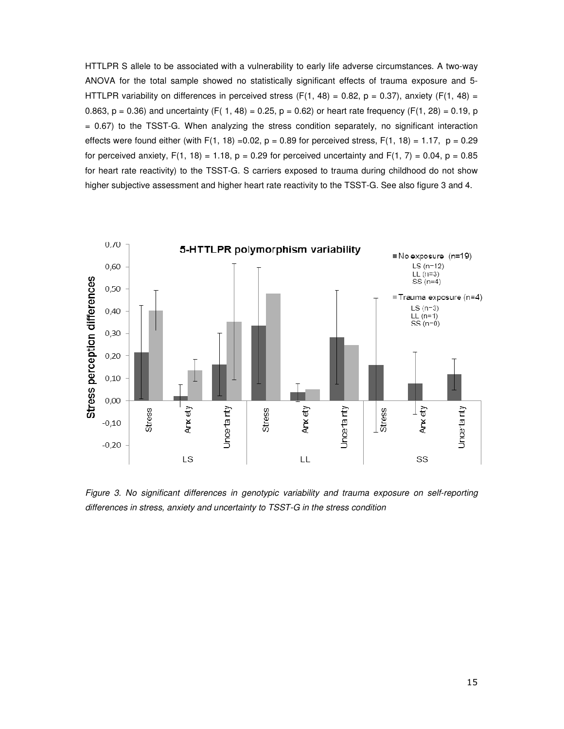HTTLPR S allele to be associated with a vulnerability to early life adverse circumstances. A two-way ANOVA for the total sample showed no statistically significant effects of trauma exposure and 5- HTTLPR variability on differences in perceived stress (F(1, 48) = 0.82, p = 0.37), anxiety (F(1, 48) = 0.863,  $p = 0.36$ ) and uncertainty (F( 1, 48) = 0.25,  $p = 0.62$ ) or heart rate frequency (F(1, 28) = 0.19, p = 0.67) to the TSST-G. When analyzing the stress condition separately, no significant interaction effects were found either (with F(1, 18) = 0.02,  $p = 0.89$  for perceived stress, F(1, 18) = 1.17,  $p = 0.29$ for perceived anxiety,  $F(1, 18) = 1.18$ ,  $p = 0.29$  for perceived uncertainty and  $F(1, 7) = 0.04$ ,  $p = 0.85$ for heart rate reactivity) to the TSST-G. S carriers exposed to trauma during childhood do not show higher subjective assessment and higher heart rate reactivity to the TSST-G. See also figure 3 and 4.



Figure 3. No significant differences in genotypic variability and trauma exposure on self-reporting differences in stress, anxiety and uncertainty to TSST-G in the stress condition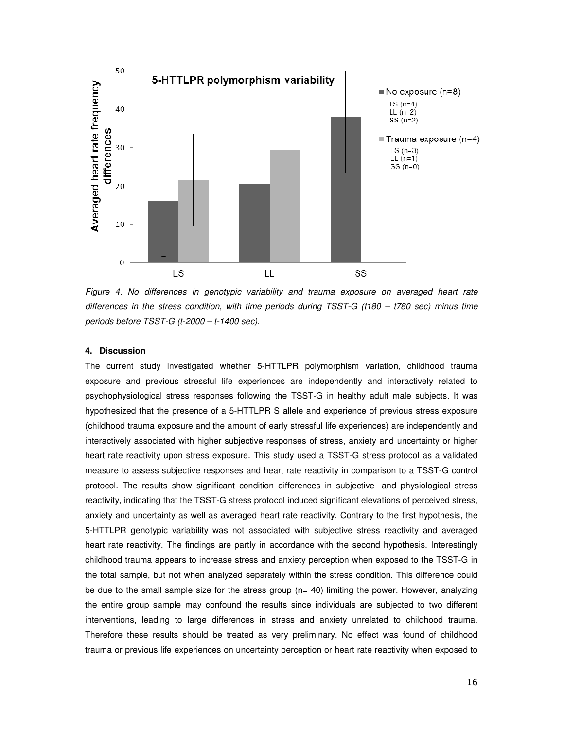

Figure 4. No differences in genotypic variability and trauma exposure on averaged heart rate differences in the stress condition, with time periods during TSST-G (t180 – t780 sec) minus time periods before TSST-G (t-2000 – t-1400 sec).

# **4. Discussion**

The current study investigated whether 5-HTTLPR polymorphism variation, childhood trauma exposure and previous stressful life experiences are independently and interactively related to psychophysiological stress responses following the TSST-G in healthy adult male subjects. It was hypothesized that the presence of a 5-HTTLPR S allele and experience of previous stress exposure (childhood trauma exposure and the amount of early stressful life experiences) are independently and interactively associated with higher subjective responses of stress, anxiety and uncertainty or higher heart rate reactivity upon stress exposure. This study used a TSST-G stress protocol as a validated measure to assess subjective responses and heart rate reactivity in comparison to a TSST-G control protocol. The results show significant condition differences in subjective- and physiological stress reactivity, indicating that the TSST-G stress protocol induced significant elevations of perceived stress, anxiety and uncertainty as well as averaged heart rate reactivity. Contrary to the first hypothesis, the 5-HTTLPR genotypic variability was not associated with subjective stress reactivity and averaged heart rate reactivity. The findings are partly in accordance with the second hypothesis. Interestingly childhood trauma appears to increase stress and anxiety perception when exposed to the TSST-G in the total sample, but not when analyzed separately within the stress condition. This difference could be due to the small sample size for the stress group  $(n= 40)$  limiting the power. However, analyzing the entire group sample may confound the results since individuals are subjected to two different interventions, leading to large differences in stress and anxiety unrelated to childhood trauma. Therefore these results should be treated as very preliminary. No effect was found of childhood trauma or previous life experiences on uncertainty perception or heart rate reactivity when exposed to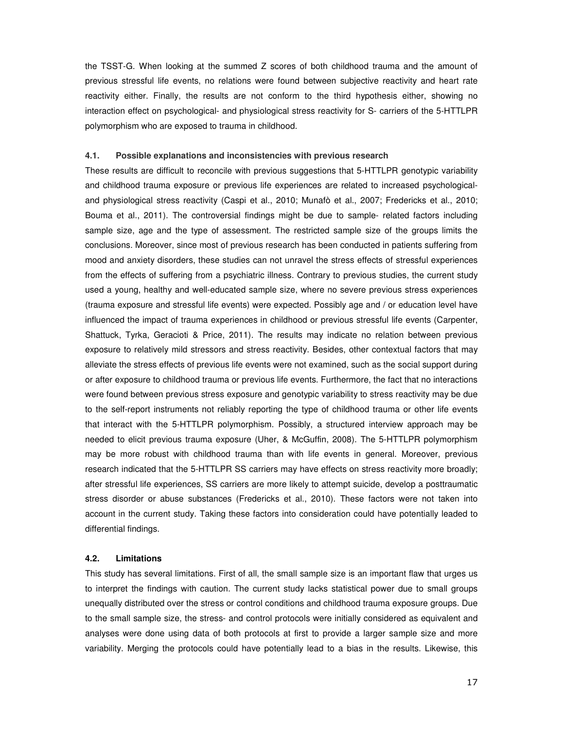the TSST-G. When looking at the summed Z scores of both childhood trauma and the amount of previous stressful life events, no relations were found between subjective reactivity and heart rate reactivity either. Finally, the results are not conform to the third hypothesis either, showing no interaction effect on psychological- and physiological stress reactivity for S- carriers of the 5-HTTLPR polymorphism who are exposed to trauma in childhood.

#### **4.1. Possible explanations and inconsistencies with previous research**

These results are difficult to reconcile with previous suggestions that 5-HTTLPR genotypic variability and childhood trauma exposure or previous life experiences are related to increased psychologicaland physiological stress reactivity (Caspi et al., 2010; Munafò et al., 2007; Fredericks et al., 2010; Bouma et al., 2011). The controversial findings might be due to sample- related factors including sample size, age and the type of assessment. The restricted sample size of the groups limits the conclusions. Moreover, since most of previous research has been conducted in patients suffering from mood and anxiety disorders, these studies can not unravel the stress effects of stressful experiences from the effects of suffering from a psychiatric illness. Contrary to previous studies, the current study used a young, healthy and well-educated sample size, where no severe previous stress experiences (trauma exposure and stressful life events) were expected. Possibly age and / or education level have influenced the impact of trauma experiences in childhood or previous stressful life events (Carpenter, Shattuck, Tyrka, Geracioti & Price, 2011). The results may indicate no relation between previous exposure to relatively mild stressors and stress reactivity. Besides, other contextual factors that may alleviate the stress effects of previous life events were not examined, such as the social support during or after exposure to childhood trauma or previous life events. Furthermore, the fact that no interactions were found between previous stress exposure and genotypic variability to stress reactivity may be due to the self-report instruments not reliably reporting the type of childhood trauma or other life events that interact with the 5-HTTLPR polymorphism. Possibly, a structured interview approach may be needed to elicit previous trauma exposure (Uher, & McGuffin, 2008). The 5-HTTLPR polymorphism may be more robust with childhood trauma than with life events in general. Moreover, previous research indicated that the 5-HTTLPR SS carriers may have effects on stress reactivity more broadly; after stressful life experiences, SS carriers are more likely to attempt suicide, develop a posttraumatic stress disorder or abuse substances (Fredericks et al., 2010). These factors were not taken into account in the current study. Taking these factors into consideration could have potentially leaded to differential findings.

# **4.2. Limitations**

This study has several limitations. First of all, the small sample size is an important flaw that urges us to interpret the findings with caution. The current study lacks statistical power due to small groups unequally distributed over the stress or control conditions and childhood trauma exposure groups. Due to the small sample size, the stress- and control protocols were initially considered as equivalent and analyses were done using data of both protocols at first to provide a larger sample size and more variability. Merging the protocols could have potentially lead to a bias in the results. Likewise, this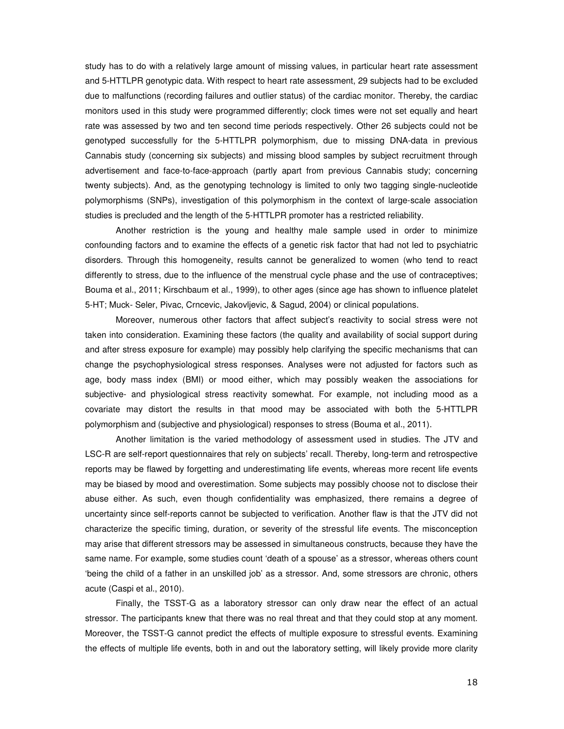study has to do with a relatively large amount of missing values, in particular heart rate assessment and 5-HTTLPR genotypic data. With respect to heart rate assessment, 29 subjects had to be excluded due to malfunctions (recording failures and outlier status) of the cardiac monitor. Thereby, the cardiac monitors used in this study were programmed differently; clock times were not set equally and heart rate was assessed by two and ten second time periods respectively. Other 26 subjects could not be genotyped successfully for the 5-HTTLPR polymorphism, due to missing DNA-data in previous Cannabis study (concerning six subjects) and missing blood samples by subject recruitment through advertisement and face-to-face-approach (partly apart from previous Cannabis study; concerning twenty subjects). And, as the genotyping technology is limited to only two tagging single-nucleotide polymorphisms (SNPs), investigation of this polymorphism in the context of large-scale association studies is precluded and the length of the 5-HTTLPR promoter has a restricted reliability.

 Another restriction is the young and healthy male sample used in order to minimize confounding factors and to examine the effects of a genetic risk factor that had not led to psychiatric disorders. Through this homogeneity, results cannot be generalized to women (who tend to react differently to stress, due to the influence of the menstrual cycle phase and the use of contraceptives; Bouma et al., 2011; Kirschbaum et al., 1999), to other ages (since age has shown to influence platelet 5-HT; Muck- Seler, Pivac, Crncevic, Jakovljevic, & Sagud, 2004) or clinical populations.

Moreover, numerous other factors that affect subject's reactivity to social stress were not taken into consideration. Examining these factors (the quality and availability of social support during and after stress exposure for example) may possibly help clarifying the specific mechanisms that can change the psychophysiological stress responses. Analyses were not adjusted for factors such as age, body mass index (BMI) or mood either, which may possibly weaken the associations for subjective- and physiological stress reactivity somewhat. For example, not including mood as a covariate may distort the results in that mood may be associated with both the 5-HTTLPR polymorphism and (subjective and physiological) responses to stress (Bouma et al., 2011).

Another limitation is the varied methodology of assessment used in studies. The JTV and LSC-R are self-report questionnaires that rely on subjects' recall. Thereby, long-term and retrospective reports may be flawed by forgetting and underestimating life events, whereas more recent life events may be biased by mood and overestimation. Some subjects may possibly choose not to disclose their abuse either. As such, even though confidentiality was emphasized, there remains a degree of uncertainty since self-reports cannot be subjected to verification. Another flaw is that the JTV did not characterize the specific timing, duration, or severity of the stressful life events. The misconception may arise that different stressors may be assessed in simultaneous constructs, because they have the same name. For example, some studies count 'death of a spouse' as a stressor, whereas others count 'being the child of a father in an unskilled job' as a stressor. And, some stressors are chronic, others acute (Caspi et al., 2010).

Finally, the TSST-G as a laboratory stressor can only draw near the effect of an actual stressor. The participants knew that there was no real threat and that they could stop at any moment. Moreover, the TSST-G cannot predict the effects of multiple exposure to stressful events. Examining the effects of multiple life events, both in and out the laboratory setting, will likely provide more clarity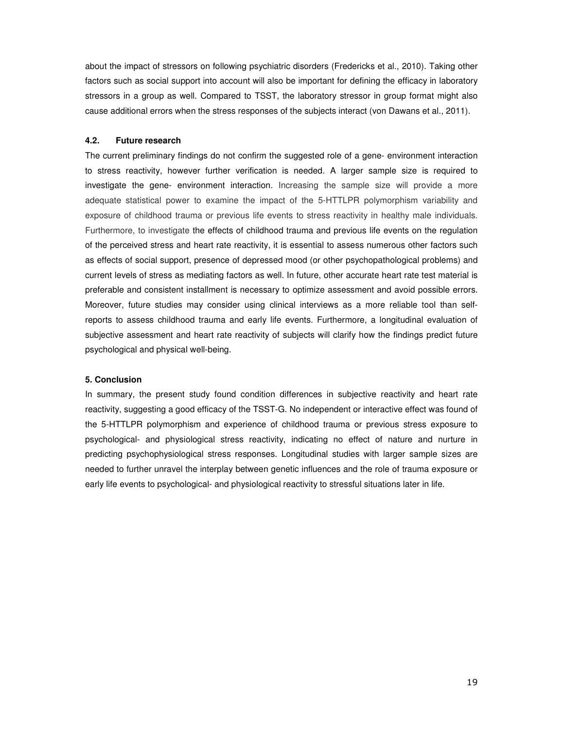about the impact of stressors on following psychiatric disorders (Fredericks et al., 2010). Taking other factors such as social support into account will also be important for defining the efficacy in laboratory stressors in a group as well. Compared to TSST, the laboratory stressor in group format might also cause additional errors when the stress responses of the subjects interact (von Dawans et al., 2011).

#### **4.2. Future research**

The current preliminary findings do not confirm the suggested role of a gene- environment interaction to stress reactivity, however further verification is needed. A larger sample size is required to investigate the gene- environment interaction. Increasing the sample size will provide a more adequate statistical power to examine the impact of the 5-HTTLPR polymorphism variability and exposure of childhood trauma or previous life events to stress reactivity in healthy male individuals. Furthermore, to investigate the effects of childhood trauma and previous life events on the regulation of the perceived stress and heart rate reactivity, it is essential to assess numerous other factors such as effects of social support, presence of depressed mood (or other psychopathological problems) and current levels of stress as mediating factors as well. In future, other accurate heart rate test material is preferable and consistent installment is necessary to optimize assessment and avoid possible errors. Moreover, future studies may consider using clinical interviews as a more reliable tool than selfreports to assess childhood trauma and early life events. Furthermore, a longitudinal evaluation of subjective assessment and heart rate reactivity of subjects will clarify how the findings predict future psychological and physical well-being.

# **5. Conclusion**

In summary, the present study found condition differences in subjective reactivity and heart rate reactivity, suggesting a good efficacy of the TSST-G. No independent or interactive effect was found of the 5-HTTLPR polymorphism and experience of childhood trauma or previous stress exposure to psychological- and physiological stress reactivity, indicating no effect of nature and nurture in predicting psychophysiological stress responses. Longitudinal studies with larger sample sizes are needed to further unravel the interplay between genetic influences and the role of trauma exposure or early life events to psychological- and physiological reactivity to stressful situations later in life.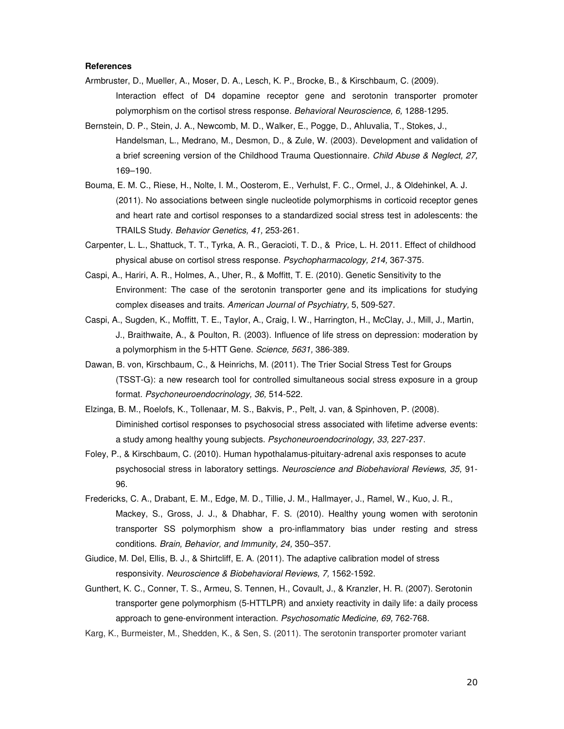### **References**

- Armbruster, D., Mueller, A., Moser, D. A., Lesch, K. P., Brocke, B., & Kirschbaum, C. (2009). Interaction effect of D4 dopamine receptor gene and serotonin transporter promoter polymorphism on the cortisol stress response. Behavioral Neuroscience, 6, 1288-1295.
- Bernstein, D. P., Stein, J. A., Newcomb, M. D., Walker, E., Pogge, D., Ahluvalia, T., Stokes, J., Handelsman, L., Medrano, M., Desmon, D., & Zule, W. (2003). Development and validation of a brief screening version of the Childhood Trauma Questionnaire. Child Abuse & Neglect, 27, 169–190.
- Bouma, E. M. C., Riese, H., Nolte, I. M., Oosterom, E., Verhulst, F. C., Ormel, J., & Oldehinkel, A. J. (2011). No associations between single nucleotide polymorphisms in corticoid receptor genes and heart rate and cortisol responses to a standardized social stress test in adolescents: the TRAILS Study. Behavior Genetics, 41, 253-261.
- Carpenter, L. L., Shattuck, T. T., Tyrka, A. R., Geracioti, T. D., & Price, L. H. 2011. Effect of childhood physical abuse on cortisol stress response. Psychopharmacology, 214, 367-375.
- Caspi, A., Hariri, A. R., Holmes, A., Uher, R., & Moffitt, T. E. (2010). Genetic Sensitivity to the Environment: The case of the serotonin transporter gene and its implications for studying complex diseases and traits. American Journal of Psychiatry, 5, 509-527.
- Caspi, A., Sugden, K., Moffitt, T. E., Taylor, A., Craig, I. W., Harrington, H., McClay, J., Mill, J., Martin, J., Braithwaite, A., & Poulton, R. (2003). Influence of life stress on depression: moderation by a polymorphism in the 5-HTT Gene. Science, 5631, 386-389.
- Dawan, B. von, Kirschbaum, C., & Heinrichs, M. (2011). The Trier Social Stress Test for Groups (TSST-G): a new research tool for controlled simultaneous social stress exposure in a group format. Psychoneuroendocrinology, 36, 514-522.
- Elzinga, B. M., Roelofs, K., Tollenaar, M. S., Bakvis, P., Pelt, J. van, & Spinhoven, P. (2008). Diminished cortisol responses to psychosocial stress associated with lifetime adverse events: a study among healthy young subjects. Psychoneuroendocrinology, 33, 227-237.
- Foley, P., & Kirschbaum, C. (2010). Human hypothalamus-pituitary-adrenal axis responses to acute psychosocial stress in laboratory settings. Neuroscience and Biobehavioral Reviews, 35, 91- 96.
- Fredericks, C. A., Drabant, E. M., Edge, M. D., Tillie, J. M., Hallmayer, J., Ramel, W., Kuo, J. R., Mackey, S., Gross, J. J., & Dhabhar, F. S. (2010). Healthy young women with serotonin transporter SS polymorphism show a pro-inflammatory bias under resting and stress conditions. Brain, Behavior, and Immunity, 24, 350–357.
- Giudice, M. Del, Ellis, B. J., & Shirtcliff, E. A. (2011). The adaptive calibration model of stress responsivity. Neuroscience & Biobehavioral Reviews, 7, 1562-1592.
- Gunthert, K. C., Conner, T. S., Armeu, S. Tennen, H., Covault, J., & Kranzler, H. R. (2007). Serotonin transporter gene polymorphism (5-HTTLPR) and anxiety reactivity in daily life: a daily process approach to gene-environment interaction. Psychosomatic Medicine, 69, 762-768.
- Karg, K., Burmeister, M., Shedden, K., & Sen, S. (2011). The serotonin transporter promoter variant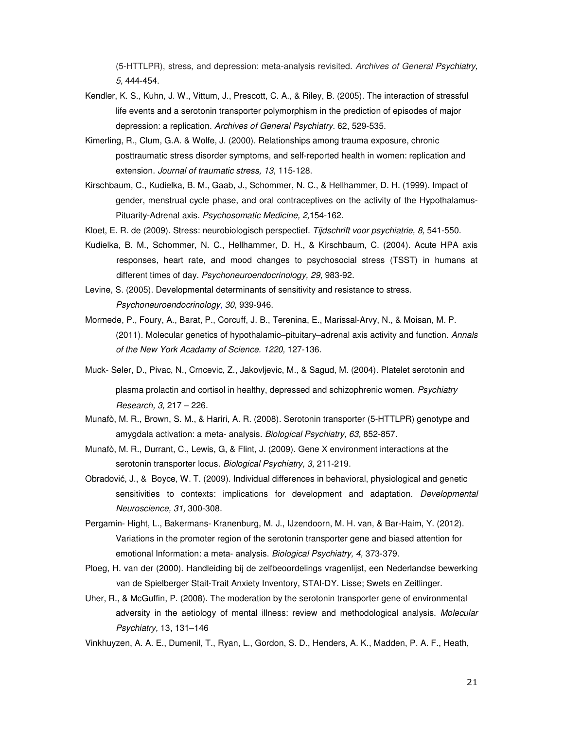(5-HTTLPR), stress, and depression: meta-analysis revisited. Archives of General Psychiatry, 5, 444-454.

- Kendler, K. S., Kuhn, J. W., Vittum, J., Prescott, C. A., & Riley, B. (2005). The interaction of stressful life events and a serotonin transporter polymorphism in the prediction of episodes of major depression: a replication. Archives of General Psychiatry. 62, 529-535.
- Kimerling, R., Clum, G.A. & Wolfe, J. (2000). Relationships among trauma exposure, chronic posttraumatic stress disorder symptoms, and self-reported health in women: replication and extension. Journal of traumatic stress, 13, 115-128.
- Kirschbaum, C., Kudielka, B. M., Gaab, J., Schommer, N. C., & Hellhammer, D. H. (1999). Impact of gender, menstrual cycle phase, and oral contraceptives on the activity of the Hypothalamus-Pituarity-Adrenal axis. Psychosomatic Medicine, 2,154-162.
- Kloet, E. R. de (2009). Stress: neurobiologisch perspectief. Tijdschrift voor psychiatrie, 8, 541-550.
- Kudielka, B. M., Schommer, N. C., Hellhammer, D. H., & Kirschbaum, C. (2004). Acute HPA axis responses, heart rate, and mood changes to psychosocial stress (TSST) in humans at different times of day. Psychoneuroendocrinology, 29, 983-92.
- Levine, S. (2005). Developmental determinants of sensitivity and resistance to stress. Psychoneuroendocrinology, 30, 939-946.
- Mormede, P., Foury, A., Barat, P., Corcuff, J. B., Terenina, E., Marissal-Arvy, N., & Moisan, M. P. (2011). Molecular genetics of hypothalamic–pituitary–adrenal axis activity and function. Annals of the New York Acadamy of Science. 1220, 127-136.
- Muck- Seler, D., Pivac, N., Crncevic, Z., Jakovljevic, M., & Sagud, M. (2004). Platelet serotonin and plasma prolactin and cortisol in healthy, depressed and schizophrenic women. Psychiatry Research, 3, 217 – 226.
- Munafò, M. R., Brown, S. M., & Hariri, A. R. (2008). Serotonin transporter (5-HTTLPR) genotype and amygdala activation: a meta- analysis. Biological Psychiatry, 63, 852-857.
- Munafò, M. R., Durrant, C., Lewis, G, & Flint, J. (2009). Gene X environment interactions at the serotonin transporter locus. Biological Psychiatry, 3, 211-219.
- Obradović, J., & Boyce, W. T. (2009). Individual differences in behavioral, physiological and genetic sensitivities to contexts: implications for development and adaptation. Developmental Neuroscience, 31, 300-308.
- Pergamin- Hight, L., Bakermans- Kranenburg, M. J., IJzendoorn, M. H. van, & Bar-Haim, Y. (2012). Variations in the promoter region of the serotonin transporter gene and biased attention for emotional Information: a meta- analysis. Biological Psychiatry, 4, 373-379.
- Ploeg, H. van der (2000). Handleiding bij de zelfbeoordelings vragenlijst, een Nederlandse bewerking van de Spielberger Stait-Trait Anxiety Inventory, STAI-DY. Lisse; Swets en Zeitlinger.
- Uher, R., & McGuffin, P. (2008). The moderation by the serotonin transporter gene of environmental adversity in the aetiology of mental illness: review and methodological analysis. Molecular Psychiatry, 13, 131–146
- Vinkhuyzen, A. A. E., Dumenil, T., Ryan, L., Gordon, S. D., Henders, A. K., Madden, P. A. F., Heath,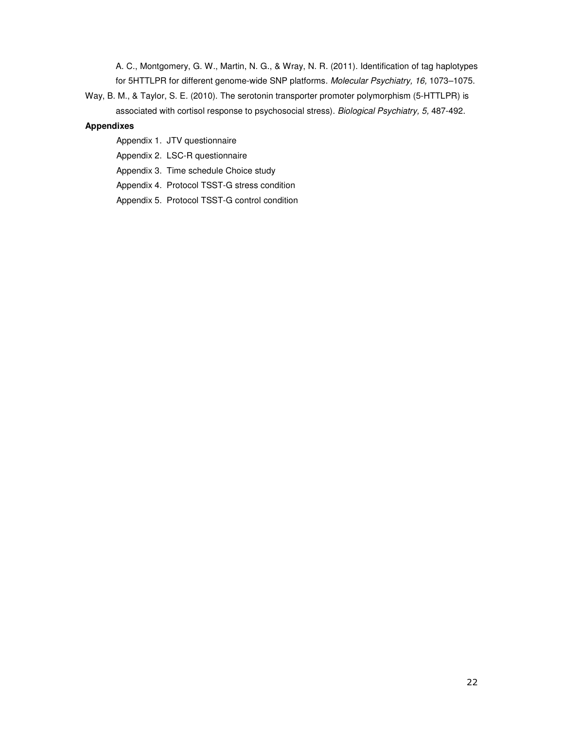A. C., Montgomery, G. W., Martin, N. G., & Wray, N. R. (2011). Identification of tag haplotypes for 5HTTLPR for different genome-wide SNP platforms. Molecular Psychiatry, 16, 1073–1075.

Way, B. M., & Taylor, S. E. (2010). The serotonin transporter promoter polymorphism (5-HTTLPR) is associated with cortisol response to psychosocial stress). Biological Psychiatry, 5, 487-492.

# **Appendixes**

- Appendix 1. JTV questionnaire
- Appendix 2. LSC-R questionnaire
- Appendix 3. Time schedule Choice study
- Appendix 4. Protocol TSST-G stress condition
- Appendix 5. Protocol TSST-G control condition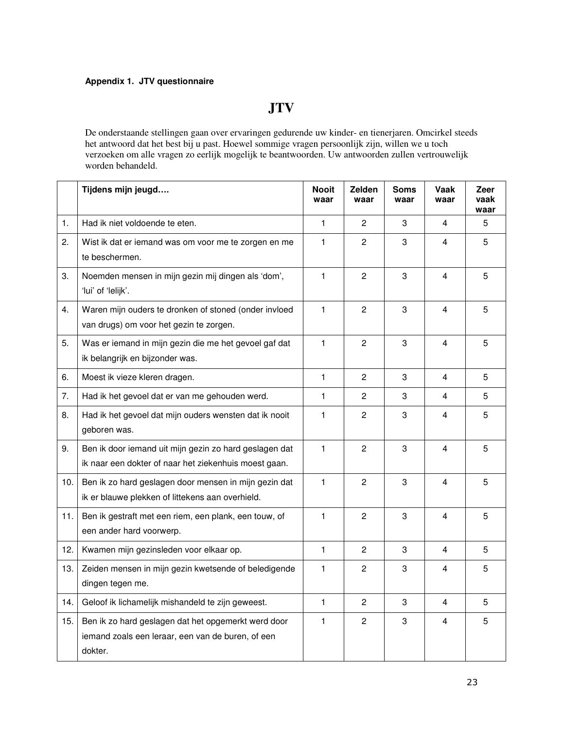# **Appendix 1. JTV questionnaire**

# **JTV**

De onderstaande stellingen gaan over ervaringen gedurende uw kinder- en tienerjaren. Omcirkel steeds het antwoord dat het best bij u past. Hoewel sommige vragen persoonlijk zijn, willen we u toch verzoeken om alle vragen zo eerlijk mogelijk te beantwoorden. Uw antwoorden zullen vertrouwelijk worden behandeld.

|     | Tijdens mijn jeugd                                                                                                  | <b>Nooit</b><br>waar | Zelden<br>waar | <b>Soms</b><br>waar | Vaak<br>waar   | Zeer<br>vaak<br>waar |
|-----|---------------------------------------------------------------------------------------------------------------------|----------------------|----------------|---------------------|----------------|----------------------|
| 1.  | Had ik niet voldoende te eten.                                                                                      | $\mathbf{1}$         | $\overline{c}$ | 3                   | 4              | 5                    |
| 2.  | Wist ik dat er iemand was om voor me te zorgen en me<br>te beschermen.                                              | 1                    | $\overline{c}$ | 3                   | 4              | 5                    |
| 3.  | Noemden mensen in mijn gezin mij dingen als 'dom',<br>'lui' of 'lelijk'.                                            | $\mathbf{1}$         | $\overline{c}$ | 3                   | $\overline{4}$ | 5                    |
| 4.  | Waren mijn ouders te dronken of stoned (onder invloed<br>van drugs) om voor het gezin te zorgen.                    | 1                    | $\overline{c}$ | 3                   | $\overline{4}$ | 5                    |
| 5.  | Was er iemand in mijn gezin die me het gevoel gaf dat<br>ik belangrijk en bijzonder was.                            | $\mathbf{1}$         | $\overline{c}$ | 3                   | $\overline{4}$ | 5                    |
| 6.  | Moest ik vieze kleren dragen.                                                                                       | 1                    | $\overline{c}$ | 3                   | $\overline{4}$ | 5                    |
| 7.  | Had ik het gevoel dat er van me gehouden werd.                                                                      | 1                    | 2              | 3                   | 4              | 5                    |
| 8.  | Had ik het gevoel dat mijn ouders wensten dat ik nooit<br>geboren was.                                              | 1                    | $\overline{c}$ | 3                   | $\overline{4}$ | 5                    |
| 9.  | Ben ik door iemand uit mijn gezin zo hard geslagen dat<br>ik naar een dokter of naar het ziekenhuis moest gaan.     | 1                    | $\overline{c}$ | 3                   | 4              | 5                    |
| 10. | Ben ik zo hard geslagen door mensen in mijn gezin dat<br>ik er blauwe plekken of littekens aan overhield.           | 1                    | $\overline{c}$ | 3                   | $\overline{4}$ | 5                    |
| 11. | Ben ik gestraft met een riem, een plank, een touw, of<br>een ander hard voorwerp.                                   | 1                    | $\overline{c}$ | 3                   | 4              | 5                    |
| 12. | Kwamen mijn gezinsleden voor elkaar op.                                                                             | 1                    | $\overline{c}$ | 3                   | 4              | 5                    |
| 13. | Zeiden mensen in mijn gezin kwetsende of beledigende<br>dingen tegen me.                                            | 1                    | $\overline{c}$ | 3                   | $\overline{4}$ | 5                    |
| 14. | Geloof ik lichamelijk mishandeld te zijn geweest.                                                                   | $\mathbf{1}$         | $\overline{c}$ | 3                   | 4              | 5                    |
| 15. | Ben ik zo hard geslagen dat het opgemerkt werd door<br>iemand zoals een leraar, een van de buren, of een<br>dokter. | 1                    | $\overline{2}$ | 3                   | 4              | 5                    |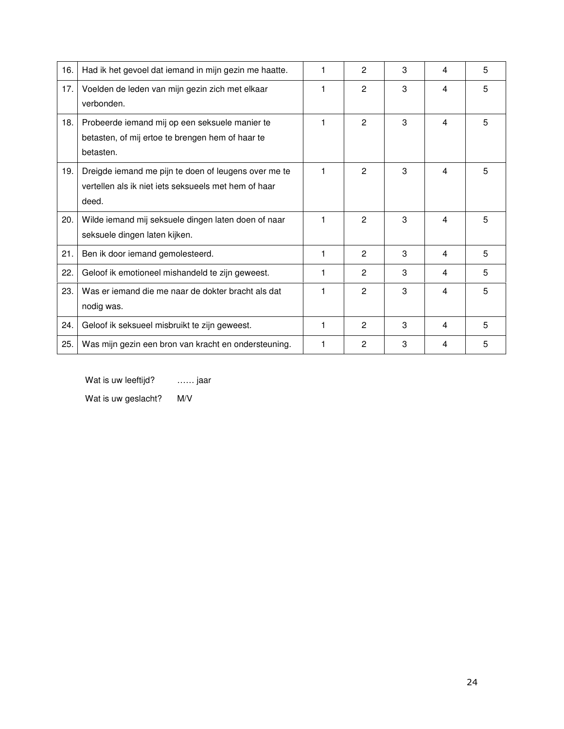| 16. | Had ik het gevoel dat iemand in mijn gezin me haatte.                                                                 |   | 2              | 3 | 4 | 5 |
|-----|-----------------------------------------------------------------------------------------------------------------------|---|----------------|---|---|---|
| 17. | Voelden de leden van mijn gezin zich met elkaar<br>verbonden.                                                         |   | 2              | 3 | 4 | 5 |
| 18. | Probeerde iemand mij op een seksuele manier te<br>betasten, of mij ertoe te brengen hem of haar te<br>betasten.       | 1 | $\mathbf{P}$   | 3 | 4 | 5 |
| 19. | Dreigde iemand me pijn te doen of leugens over me te<br>vertellen als ik niet jets seksueels met hem of haar<br>deed. | 1 | $\overline{c}$ | 3 | 4 | 5 |
| 20. | Wilde iemand mij seksuele dingen laten doen of naar<br>seksuele dingen laten kijken.                                  |   | $\mathbf{P}$   | 3 | 4 | 5 |
| 21. | Ben ik door iemand gemolesteerd.                                                                                      | 1 | $\overline{c}$ | 3 | 4 | 5 |
| 22. | Geloof ik emotioneel mishandeld te zijn geweest.                                                                      |   | $\overline{c}$ | 3 | 4 | 5 |
| 23. | Was er iemand die me naar de dokter bracht als dat<br>nodig was.                                                      |   | $\overline{c}$ | 3 | 4 | 5 |
| 24. | Geloof ik seksueel misbruikt te zijn geweest.                                                                         | 1 | 2              | 3 | 4 | 5 |
| 25. | Was mijn gezin een bron van kracht en ondersteuning.                                                                  | 1 | 2              | 3 | 4 | 5 |

Wat is uw leeftijd? ...... jaar

Wat is uw geslacht? M/V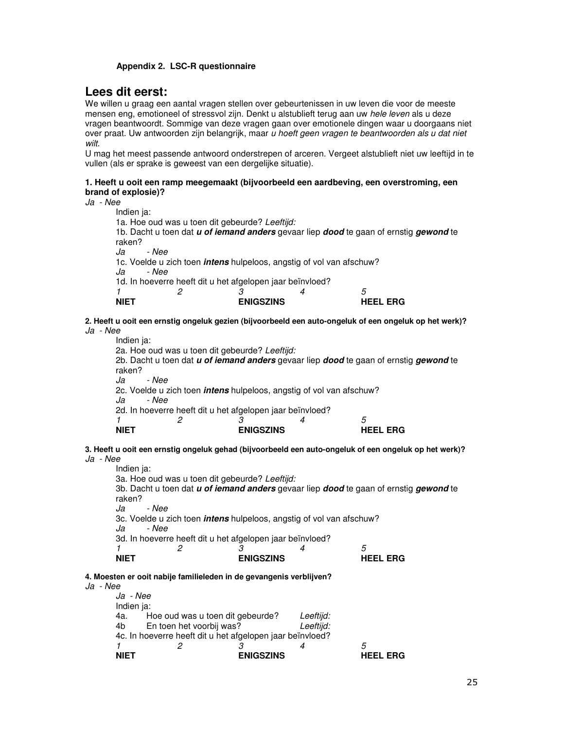# **Appendix 2. LSC-R questionnaire**

# **Lees dit eerst:**

We willen u graag een aantal vragen stellen over gebeurtenissen in uw leven die voor de meeste mensen eng, emotioneel of stressvol zijn. Denkt u alstublieft terug aan uw hele leven als u deze vragen beantwoordt. Sommige van deze vragen gaan over emotionele dingen waar u doorgaans niet over praat. Uw antwoorden zijn belangrijk, maar u hoeft geen vragen te beantwoorden als u dat niet wilt.

U mag het meest passende antwoord onderstrepen of arceren. Vergeet alstublieft niet uw leeftijd in te vullen (als er sprake is geweest van een dergelijke situatie).

# **1. Heeft u ooit een ramp meegemaakt (bijvoorbeeld een aardbeving, een overstroming, een brand of explosie)?**

Ja - Nee

| Indien ja:  |                                                           |                  |                                                                             |                                                                                       |
|-------------|-----------------------------------------------------------|------------------|-----------------------------------------------------------------------------|---------------------------------------------------------------------------------------|
|             | 1a. Hoe oud was u toen dit gebeurde? Leeftijd:            |                  |                                                                             |                                                                                       |
|             |                                                           |                  |                                                                             | 1b. Dacht u toen dat u of iemand anders gevaar liep dood te gaan of ernstig gewond te |
| raken?      |                                                           |                  |                                                                             |                                                                                       |
| Ja<br>- Nee |                                                           |                  |                                                                             |                                                                                       |
| Ja<br>- Nee |                                                           |                  | 1c. Voelde u zich toen <i>intens</i> hulpeloos, angstig of vol van afschuw? |                                                                                       |
|             | 1d. In hoeverre heeft dit u het afgelopen jaar beïnvloed? |                  |                                                                             |                                                                                       |
|             |                                                           |                  |                                                                             | 5                                                                                     |
| NIET        |                                                           | <b>ENIGSZINS</b> |                                                                             | <b>HEEL ERG</b>                                                                       |
|             |                                                           |                  |                                                                             |                                                                                       |

**2. Heeft u ooit een ernstig ongeluk gezien (bijvoorbeeld een auto-ongeluk of een ongeluk op het werk)?** Ja - Nee

Indien ja: 2a. Hoe oud was u toen dit gebeurde? Leeftijd: 2b. Dacht u toen dat **u of iemand anders** gevaar liep **dood** te gaan of ernstig **gewond** te raken?<br>Ja - Nee 2c. Voelde u zich toen **intens** hulpeloos, angstig of vol van afschuw? Ja - Nee 2d. In hoeverre heeft dit u het afgelopen jaar beïnvloed? 1 2 3 4 5 **NIET** ENIGSZINS **HEEL ERG** 

# **3. Heeft u ooit een ernstig ongeluk gehad (bijvoorbeeld een auto-ongeluk of een ongeluk op het werk)?**  Ja - Nee

Indien ja: 3a. Hoe oud was u toen dit gebeurde? Leeftijd: 3b. Dacht u toen dat **u of iemand anders** gevaar liep **dood** te gaan of ernstig **gewond** te raken? Ja - Nee 3c. Voelde u zich toen **intens** hulpeloos, angstig of vol van afschuw? Ja - Nee 3d. In hoeverre heeft dit u het afgelopen jaar beïnvloed?<br> $\begin{array}{cc} 1 & 2 & 3 \end{array}$ 1 2 3 4 5 **NIET** ENIGSZINS **HEEL ERG** 

**4. Moesten er ooit nabije familieleden in de gevangenis verblijven?** 

Ja - Nee

|    | <b>NIFT</b> |                                                           | <b>ENIGSZINS</b> |           | HEEL.<br>FRG |
|----|-------------|-----------------------------------------------------------|------------------|-----------|--------------|
|    |             |                                                           |                  |           | 5            |
|    |             | 4c. In hoeverre heeft dit u het afgelopen jaar beïnvloed? |                  |           |              |
|    | 4b l        | En toen het voorbij was?                                  |                  | Leeftijd: |              |
|    | 4a.         | Hoe oud was u toen dit gebeurde?                          |                  | Leeftijd: |              |
|    | Indien ja:  |                                                           |                  |           |              |
|    | Ja - Nee    |                                                           |                  |           |              |
| ഄഄ | ,,,,,       |                                                           |                  |           |              |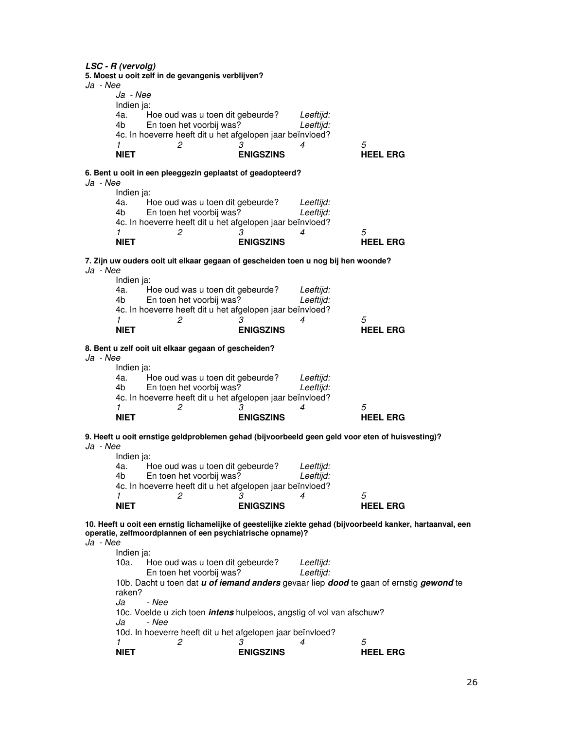**LSC - R (vervolg) 5. Moest u ooit zelf in de gevangenis verblijven?**  Ja - Nee Ja - Nee Indien ja: 4a. Hoe oud was u toen dit gebeurde? Leeftijd: 4b En toen het voorbij was? Leeftijd: 4c. In hoeverre heeft dit u het afgelopen jaar beïnvloed? 1 2 3 4 5 **NIET ENIGSZINS HEEL ERG 6. Bent u ooit in een pleeggezin geplaatst of geadopteerd?**  Ja - Nee Indien ja:<br>4a. H 4a. Hoe oud was u toen dit gebeurde? Leeftijd:<br>4b En toen het voorbij was? Leeftijd: En toen het voorbij was? 4c. In hoeverre heeft dit u het afgelopen jaar beïnvloed?<br>1  $\frac{2}{3}$ 1 2 3 4 5 **NIET** ENIGSZINS **HEEL ERG 7. Zijn uw ouders ooit uit elkaar gegaan of gescheiden toen u nog bij hen woonde?**  Ja - Nee Indien ja: 4a. Hoe oud was u toen dit gebeurde? Leeftijd:<br>4b En toen het voorbij was? Leeftijd: 4b En toen het voorbij was? 4c. In hoeverre heeft dit u het afgelopen jaar beïnvloed? 1 2 3 4 5 **NIET** ENIGSZINS **HEEL ERG 8. Bent u zelf ooit uit elkaar gegaan of gescheiden?**  Ja - Nee Indien ja: 4a. Hoe oud was u toen dit gebeurde? Leeftijd:<br>4b En toen het voorbij was? Leeftiid: 4b En toen het voorbij was? 4c. In hoeverre heeft dit u het afgelopen jaar beïnvloed? 1 2 3 4 5 **NIET** ENIGSZINS **HEEL ERG 9. Heeft u ooit ernstige geldproblemen gehad (bijvoorbeeld geen geld voor eten of huisvesting)?**  Ja - Nee Indien ja: 4a. Hoe oud was u toen dit gebeurde? Leeftijd: 4b En toen het voorbij was? Leeftijd: 4c. In hoeverre heeft dit u het afgelopen jaar beïnvloed? 1 2 3 4 5 **NIET** ENIGSZINS **HEEL ERG 10. Heeft u ooit een ernstig lichamelijke of geestelijke ziekte gehad (bijvoorbeeld kanker, hartaanval, een operatie, zelfmoordplannen of een psychiatrische opname)?**  Ja - Nee Indien ja: 10a. Hoe oud was u toen dit gebeurde? Leeftijd:<br>En toen het voorbij was? Leeftijd: En toen het voorbij was? 10b. Dacht u toen dat **u of iemand anders** gevaar liep **dood** te gaan of ernstig **gewond** te raken? Ja - Nee 10c. Voelde u zich toen **intens** hulpeloos, angstig of vol van afschuw? Ja - Nee 10d. In hoeverre heeft dit u het afgelopen jaar beïnvloed?<br>1  $\frac{2}{3}$ 1 2 3 4 5 **NIET ENIGSZINS HEEL ERG**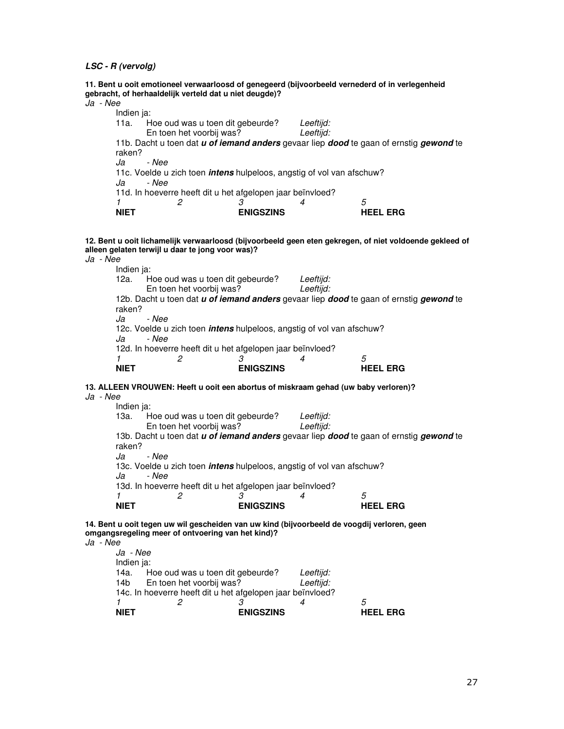|            | 11. Bent u ooit emotioneel verwaarloosd of genegeerd (bijvoorbeeld vernederd of in verlegenheid<br>gebracht, of herhaaldelijk verteld dat u niet deugde)? |           |  |
|------------|-----------------------------------------------------------------------------------------------------------------------------------------------------------|-----------|--|
| Ja - Nee   |                                                                                                                                                           |           |  |
| Indien ja: |                                                                                                                                                           |           |  |
| 11a. l     | Hoe oud was u toen dit gebeurde?                                                                                                                          | Leeftijd: |  |
|            | En toen het voorbij was?                                                                                                                                  | Leeftijd: |  |
| raken?     | 11b. Dacht u toen dat u of iemand anders gevaar liep dood te gaan of ernstig gewond te                                                                    |           |  |
| Ja         | - Nee                                                                                                                                                     |           |  |
|            | 11c. Voelde u zich toen <i>intens</i> hulpeloos, angstig of vol van afschuw?                                                                              |           |  |
| Ja         | - Nee                                                                                                                                                     |           |  |

11d. In hoeverre heeft dit u het afgelopen jaar beïnvloed?<br>1  $\frac{2}{3}$ 

| NIET | <b>ENIGSZINS</b> | <b>HEEL ERG</b> |
|------|------------------|-----------------|

**12. Bent u ooit lichamelijk verwaarloosd (bijvoorbeeld geen eten gekregen, of niet voldoende gekleed of alleen gelaten terwijl u daar te jong voor was)?** Ja - Nee

Indien ja: 12a. Hoe oud was u toen dit gebeurde? Leeftijd:<br>En toen het voorbij was? Leeftijd: En toen het voorbij was? 12b. Dacht u toen dat **u of iemand anders** gevaar liep **dood** te gaan of ernstig **gewond** te raken?<br>Ja - Nee 12c. Voelde u zich toen **intens** hulpeloos, angstig of vol van afschuw? Ja - Nee 12d. In hoeverre heeft dit u het afgelopen jaar beïnvloed?<br>1  $\frac{2}{3}$ 1 2 3 4 5 **NIET ENIGSZINS HEEL ERG** 

# **13. ALLEEN VROUWEN: Heeft u ooit een abortus of miskraam gehad (uw baby verloren)?**

Ja - Nee

Indien ja: 13a. Hoe oud was u toen dit gebeurde? Leeftijd:<br>En toen het voorbij was? Leeftijd: En toen het voorbij was? 13b. Dacht u toen dat **u of iemand anders** gevaar liep **dood** te gaan of ernstig **gewond** te raken? Ja - Nee 13c. Voelde u zich toen **intens** hulpeloos, angstig of vol van afschuw? Ja - Nee 13d. In hoeverre heeft dit u het afgelopen jaar beïnvloed?<br>1  $\frac{2}{3}$ 1 2 3 4 5 **NIET** ENIGSZINS **HEEL ERG** 

**14. Bent u ooit tegen uw wil gescheiden van uw kind (bijvoorbeeld de voogdij verloren, geen omgangsregeling meer of ontvoering van het kind)?** 

Ja - Nee

| <b>NIFT</b>                                                |                                  | <b>ENIGSZINS</b>                      |  | HEFL<br><b>ERG</b> |  |  |  |
|------------------------------------------------------------|----------------------------------|---------------------------------------|--|--------------------|--|--|--|
|                                                            |                                  |                                       |  | 5                  |  |  |  |
| 14c. In hoeverre heeft dit u het afgelopen jaar beïnvloed? |                                  |                                       |  |                    |  |  |  |
| 14b l                                                      |                                  | En toen het voorbij was?<br>Leeftijd: |  |                    |  |  |  |
| 14a.                                                       | Hoe oud was u toen dit gebeurde? |                                       |  |                    |  |  |  |
| Indien ja:                                                 |                                  |                                       |  |                    |  |  |  |
| Ja - Nee                                                   |                                  |                                       |  |                    |  |  |  |
|                                                            |                                  |                                       |  |                    |  |  |  |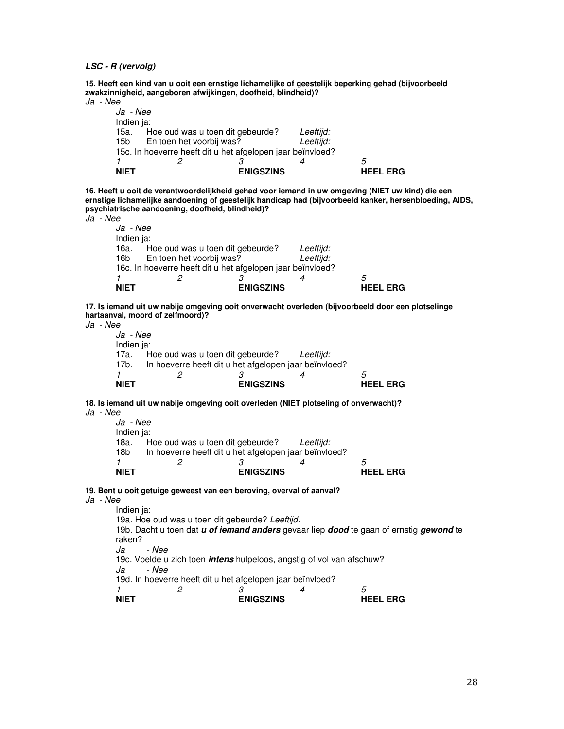**15. Heeft een kind van u ooit een ernstige lichamelijke of geestelijk beperking gehad (bijvoorbeeld zwakzinnigheid, aangeboren afwijkingen, doofheid, blindheid)?**  Ja - Nee

|          | <b>NIET</b> |                                                            | <b>ENIGSZINS</b> |           | HEFL<br>FRG |  |  |  |  |  |
|----------|-------------|------------------------------------------------------------|------------------|-----------|-------------|--|--|--|--|--|
|          |             |                                                            |                  |           | 5           |  |  |  |  |  |
|          |             | 15c. In hoeverre heeft dit u het afgelopen jaar beïnvloed? |                  |           |             |  |  |  |  |  |
|          | 15b l       | En toen het voorbij was?                                   | Leeftijd:        |           |             |  |  |  |  |  |
|          | 15a.        | Hoe oud was u toen dit gebeurde?                           |                  | Leeftijd: |             |  |  |  |  |  |
|          | Indien ja:  |                                                            |                  |           |             |  |  |  |  |  |
|          | Ja - Nee    |                                                            |                  |           |             |  |  |  |  |  |
| Ja - Nee |             |                                                            |                  |           |             |  |  |  |  |  |

**16. Heeft u ooit de verantwoordelijkheid gehad voor iemand in uw omgeving (NIET uw kind) die een ernstige lichamelijke aandoening of geestelijk handicap had (bijvoorbeeld kanker, hersenbloeding, AIDS, psychiatrische aandoening, doofheid, blindheid)?** 

Ja - Nee

 Ja - Nee Indien ja: 16a. Hoe oud was u toen dit gebeurde? Leeftijd:<br>16b En toen het voorbij was? Leeftijd: 16b En toen het voorbij was? 16c. In hoeverre heeft dit u het afgelopen jaar beïnvloed?<br>1  $\frac{2}{3}$ 1 2 3 4 5 **NIET** ENIGSZINS **HEEL ERG** 

**17. Is iemand uit uw nabije omgeving ooit onverwacht overleden (bijvoorbeeld door een plotselinge hartaanval, moord of zelfmoord)?** 

Ja - Nee

 Ja - Nee Indien ja: 17a. Hoe oud was u toen dit gebeurde? Leeftijd: 17b. In hoeverre heeft dit u het afgelopen jaar beïnvloed?<br>1  $\frac{2}{3}$ 1 2 3 4 5 **NIET** ENIGSZINS **HEEL ERG** 

**18. Is iemand uit uw nabije omgeving ooit overleden (NIET plotseling of onverwacht)?** 

Ja - Nee

| Indien ja:                                                   |                  |  |                                               |  |  |
|--------------------------------------------------------------|------------------|--|-----------------------------------------------|--|--|
|                                                              |                  |  |                                               |  |  |
| In hoeverre heeft dit u het afgelopen jaar beïnvloed?<br>18b |                  |  |                                               |  |  |
|                                                              |                  |  | 5                                             |  |  |
|                                                              | <b>ENIGSZINS</b> |  | <b>HEEL ERG</b>                               |  |  |
|                                                              |                  |  | Hoe oud was u toen dit gebeurde?<br>Leeftijd: |  |  |

**19. Bent u ooit getuige geweest van een beroving, overval of aanval?** 

Ja - Nee

Indien ja: 19a. Hoe oud was u toen dit gebeurde? Leeftijd: 19b. Dacht u toen dat **u of iemand anders** gevaar liep **dood** te gaan of ernstig **gewond** te raken? Ja - Nee 19c. Voelde u zich toen **intens** hulpeloos, angstig of vol van afschuw? - Nee 19d. In hoeverre heeft dit u het afgelopen jaar beïnvloed? 1 2 3 4 5 **NIET** ENIGSZINS **HEEL ERG**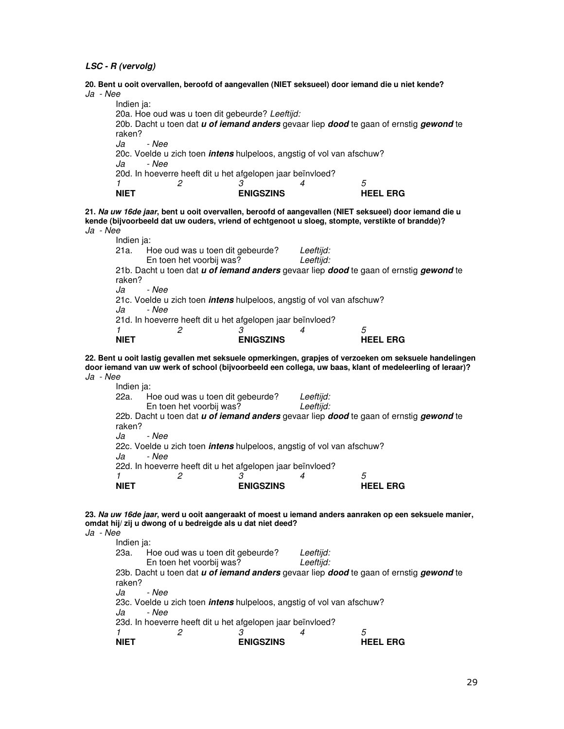**20. Bent u ooit overvallen, beroofd of aangevallen (NIET seksueel) door iemand die u niet kende?**  Ja - Nee Indien ja: 20a. Hoe oud was u toen dit gebeurde? Leeftijd: 20b. Dacht u toen dat **u of iemand anders** gevaar liep **dood** te gaan of ernstig **gewond** te

raken? Ja - Nee 20c. Voelde u zich toen **intens** hulpeloos, angstig of vol van afschuw? Ja - Nee 20d. In hoeverre heeft dit u het afgelopen jaar beïnvloed?<br>  $\begin{array}{cc}\n 1 & 2 \\
2 & 3\n \end{array}$ 1 2 3 4 5 **NIET** ENIGSZINS **HEEL ERG** 

**21. Na uw 16de jaar, bent u ooit overvallen, beroofd of aangevallen (NIET seksueel) door iemand die u kende (bijvoorbeeld dat uw ouders, vriend of echtgenoot u sloeg, stompte, verstikte of brandde)?**  Ja - Nee

| Indien ja:                                                 |                                                                              |                  |           |                                                                                        |  |  |  |  |
|------------------------------------------------------------|------------------------------------------------------------------------------|------------------|-----------|----------------------------------------------------------------------------------------|--|--|--|--|
| 21a.                                                       | Hoe oud was u toen dit gebeurde?                                             |                  | Leeftiid: |                                                                                        |  |  |  |  |
|                                                            | En toen het voorbij was?                                                     |                  | Leeftijd: |                                                                                        |  |  |  |  |
|                                                            |                                                                              |                  |           | 21b. Dacht u toen dat u of iemand anders gevaar liep dood te gaan of ernstig gewond te |  |  |  |  |
| raken?                                                     |                                                                              |                  |           |                                                                                        |  |  |  |  |
| Ja                                                         | - Nee                                                                        |                  |           |                                                                                        |  |  |  |  |
|                                                            | 21c. Voelde u zich toen <i>intens</i> hulpeloos, angstig of vol van afschuw? |                  |           |                                                                                        |  |  |  |  |
| Ja                                                         | - Nee                                                                        |                  |           |                                                                                        |  |  |  |  |
| 21d. In hoeverre heeft dit u het afgelopen jaar beïnvloed? |                                                                              |                  |           |                                                                                        |  |  |  |  |
|                                                            |                                                                              |                  |           | 5                                                                                      |  |  |  |  |
| <b>NIET</b>                                                |                                                                              | <b>ENIGSZINS</b> |           | HEEL ERG                                                                               |  |  |  |  |

**22. Bent u ooit lastig gevallen met seksuele opmerkingen, grapjes of verzoeken om seksuele handelingen door iemand van uw werk of school (bijvoorbeeld een collega, uw baas, klant of medeleerling of leraar)?**  Ja - Nee

Indien ja:

| <b>NIET</b> |                                                                                       | <b>ENIGSZINS</b> |           | <b>HEEL ERG</b>                                                                                             |  |  |  |  |  |
|-------------|---------------------------------------------------------------------------------------|------------------|-----------|-------------------------------------------------------------------------------------------------------------|--|--|--|--|--|
|             |                                                                                       |                  |           | 5                                                                                                           |  |  |  |  |  |
|             | 22d. In hoeverre heeft dit u het afgelopen jaar beïnvloed?                            |                  |           |                                                                                                             |  |  |  |  |  |
| Ja          | 22c. Voelde u zich toen <i>intens</i> hulpeloos, angstig of vol van afschuw?<br>- Nee |                  |           |                                                                                                             |  |  |  |  |  |
| Ja          | - Nee                                                                                 |                  |           |                                                                                                             |  |  |  |  |  |
| raken?      |                                                                                       |                  |           |                                                                                                             |  |  |  |  |  |
|             |                                                                                       |                  |           | 22b. Dacht u toen dat <i>u of iemand anders</i> gevaar liep <i>dood</i> te gaan of ernstig <i>gewond</i> te |  |  |  |  |  |
|             | En toen het voorbij was?                                                              |                  | Leeftijd: |                                                                                                             |  |  |  |  |  |
|             | 22a. Hoe oud was u toen dit gebeurde?                                                 |                  | Leeftijd: |                                                                                                             |  |  |  |  |  |
|             |                                                                                       |                  |           |                                                                                                             |  |  |  |  |  |

| 23. Na uw 16de jaar, werd u ooit aangeraakt of moest u iemand anders aanraken op een seksuele manier, |  |
|-------------------------------------------------------------------------------------------------------|--|
| omdat hij/zij u dwong of u bedreigde als u dat niet deed?                                             |  |
| Ja - Nee                                                                                              |  |

| Indien ja:  |                                                                              |                  |           |                                                                                        |  |  |  |  |  |
|-------------|------------------------------------------------------------------------------|------------------|-----------|----------------------------------------------------------------------------------------|--|--|--|--|--|
| 23a.        | Hoe oud was u toen dit gebeurde?                                             |                  | Leeftijd: |                                                                                        |  |  |  |  |  |
|             | En toen het voorbij was?                                                     |                  | Leeftijd: |                                                                                        |  |  |  |  |  |
|             |                                                                              |                  |           | 23b. Dacht u toen dat u of iemand anders gevaar liep dood te gaan of ernstig gewond te |  |  |  |  |  |
| raken?      |                                                                              |                  |           |                                                                                        |  |  |  |  |  |
| Ja          | - Nee                                                                        |                  |           |                                                                                        |  |  |  |  |  |
|             | 23c. Voelde u zich toen <i>intens</i> hulpeloos, angstig of vol van afschuw? |                  |           |                                                                                        |  |  |  |  |  |
| Ja          | - Nee                                                                        |                  |           |                                                                                        |  |  |  |  |  |
|             | 23d. In hoeverre heeft dit u het afgelopen jaar beïnvloed?                   |                  |           |                                                                                        |  |  |  |  |  |
|             |                                                                              |                  |           | 5                                                                                      |  |  |  |  |  |
| <b>NIET</b> |                                                                              | <b>ENIGSZINS</b> |           | <b>ERG</b>                                                                             |  |  |  |  |  |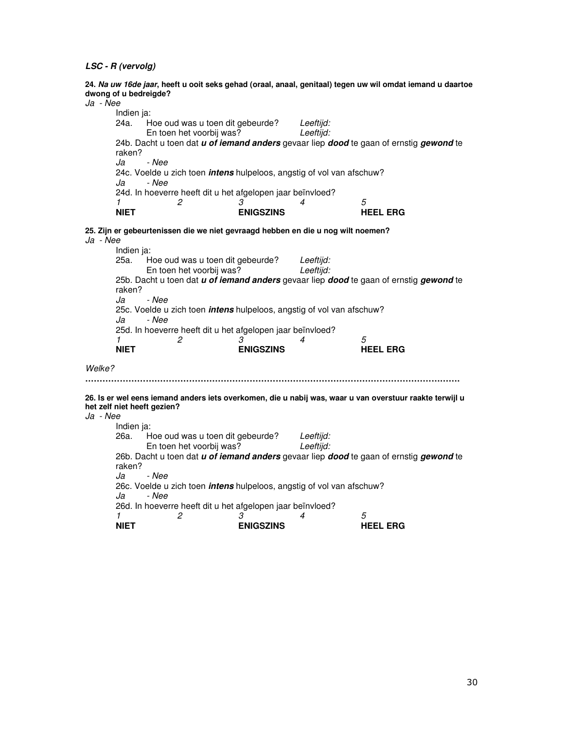**24. Na uw 16de jaar, heeft u ooit seks gehad (oraal, anaal, genitaal) tegen uw wil omdat iemand u daartoe dwong of u bedreigde?** 

| Ja - Nee | awong or a neareigae : |                                                                                  |                       |           |                                                                                                             |
|----------|------------------------|----------------------------------------------------------------------------------|-----------------------|-----------|-------------------------------------------------------------------------------------------------------------|
|          | Indien ja:             |                                                                                  |                       |           |                                                                                                             |
|          | 24a.                   | Hoe oud was u toen dit gebeurde?                                                 |                       | Leeftijd: |                                                                                                             |
|          |                        | En toen het voorbij was?                                                         |                       | Leeftijd: |                                                                                                             |
|          |                        |                                                                                  |                       |           | 24b. Dacht u toen dat <i>u of iemand anders</i> gevaar liep <i>dood</i> te gaan of ernstig <i>gewond</i> te |
|          | raken?                 |                                                                                  |                       |           |                                                                                                             |
|          | Ja                     | - Nee                                                                            |                       |           |                                                                                                             |
|          |                        | 24c. Voelde u zich toen <i>intens</i> hulpeloos, angstig of vol van afschuw?     |                       |           |                                                                                                             |
|          | Ja                     | - Nee                                                                            |                       |           |                                                                                                             |
|          | 1                      | 24d. In hoeverre heeft dit u het afgelopen jaar beïnvloed?                       |                       | 4         |                                                                                                             |
|          | <b>NIET</b>            | 2                                                                                | 3<br><b>ENIGSZINS</b> |           | 5<br><b>HEEL ERG</b>                                                                                        |
|          |                        |                                                                                  |                       |           |                                                                                                             |
|          |                        | 25. Zijn er gebeurtenissen die we niet gevraagd hebben en die u nog wilt noemen? |                       |           |                                                                                                             |
| Ja - Nee |                        |                                                                                  |                       |           |                                                                                                             |
|          | Indien ja:             |                                                                                  |                       |           |                                                                                                             |
|          | 25a.                   | Hoe oud was u toen dit gebeurde?                                                 |                       | Leeftijd: |                                                                                                             |
|          |                        | En toen het voorbij was?                                                         |                       | Leeftijd: |                                                                                                             |
|          | raken?                 |                                                                                  |                       |           | 25b. Dacht u toen dat u of iemand anders gevaar liep dood te gaan of ernstig gewond te                      |
|          | Ja                     | - Nee                                                                            |                       |           |                                                                                                             |
|          |                        | 25c. Voelde u zich toen <i>intens</i> hulpeloos, angstig of vol van afschuw?     |                       |           |                                                                                                             |
|          | Ja                     | - Nee                                                                            |                       |           |                                                                                                             |
|          |                        | 25d. In hoeverre heeft dit u het afgelopen jaar beïnvloed?                       |                       |           |                                                                                                             |
|          | $\mathcal I$           | 2                                                                                | 3                     | 4         | 5                                                                                                           |
|          | <b>NIET</b>            |                                                                                  | <b>ENIGSZINS</b>      |           | <b>HEEL ERG</b>                                                                                             |
|          |                        |                                                                                  |                       |           |                                                                                                             |
| Welke?   |                        |                                                                                  |                       |           |                                                                                                             |
|          |                        |                                                                                  |                       |           |                                                                                                             |
|          |                        |                                                                                  |                       |           | 26. Is er wel eens iemand anders iets overkomen, die u nabij was, waar u van overstuur raakte terwijl u     |
|          |                        | het zelf niet heeft gezien?                                                      |                       |           |                                                                                                             |
| Ja - Nee |                        |                                                                                  |                       |           |                                                                                                             |
|          | Indien ja:             |                                                                                  |                       |           |                                                                                                             |
|          | 26a.                   | Hoe oud was u toen dit gebeurde?                                                 |                       | Leeftijd: |                                                                                                             |
|          |                        | En toen het voorbij was?                                                         |                       | Leeftijd: |                                                                                                             |
|          | raken?                 |                                                                                  |                       |           | 26b. Dacht u toen dat u of iemand anders gevaar liep dood te gaan of ernstig gewond te                      |
|          | Ja                     | - Nee                                                                            |                       |           |                                                                                                             |
|          |                        | 26c. Voelde u zich toen <i>intens</i> hulpeloos, angstig of vol van afschuw?     |                       |           |                                                                                                             |
|          | Ja                     | - Nee                                                                            |                       |           |                                                                                                             |
|          |                        | 26d. In hoeverre heeft dit u het afgelopen jaar beïnvloed?                       |                       |           |                                                                                                             |
|          | $\mathcal I$           | 2                                                                                | 3                     | 4         | 5                                                                                                           |
|          | <b>NIET</b>            |                                                                                  | <b>ENIGSZINS</b>      |           | <b>HEEL ERG</b>                                                                                             |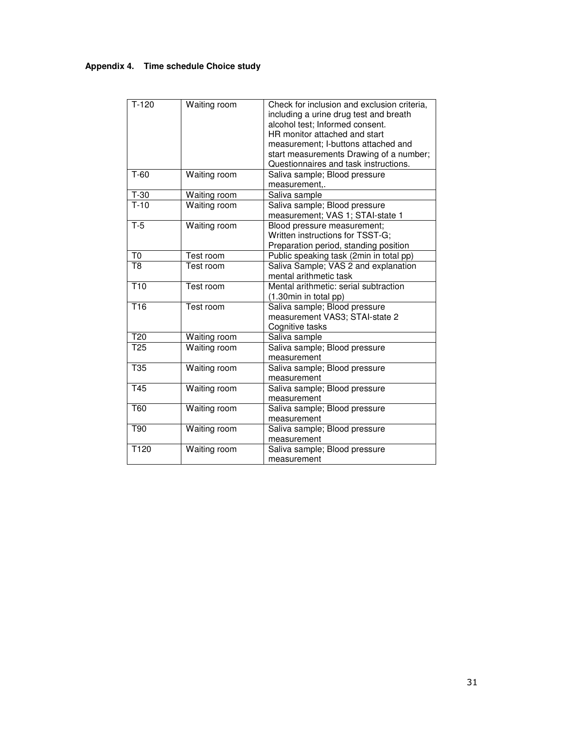# **Appendix 4. Time schedule Choice study**

| $T-120$          | Waiting room | Check for inclusion and exclusion criteria, |
|------------------|--------------|---------------------------------------------|
|                  |              | including a urine drug test and breath      |
|                  |              | alcohol test; Informed consent.             |
|                  |              | HR monitor attached and start               |
|                  |              | measurement; I-buttons attached and         |
|                  |              | start measurements Drawing of a number;     |
|                  |              | Questionnaires and task instructions.       |
| $T-60$           | Waiting room | Saliva sample; Blood pressure               |
|                  |              | measurement,.                               |
| $T-30$           | Waiting room | Saliva sample                               |
| $T-10$           | Waiting room | Saliva sample; Blood pressure               |
|                  |              | measurement; VAS 1; STAI-state 1            |
| $T-5$            | Waiting room | Blood pressure measurement;                 |
|                  |              | Written instructions for TSST-G;            |
|                  |              | Preparation period, standing position       |
| T <sub>0</sub>   | Test room    | Public speaking task (2min in total pp)     |
| T <sub>8</sub>   | Test room    | Saliva Sample; VAS 2 and explanation        |
|                  |              | mental arithmetic task                      |
| T <sub>10</sub>  | Test room    | Mental arithmetic: serial subtraction       |
|                  |              | (1.30min in total pp)                       |
| $\overline{716}$ | Test room    | Saliva sample; Blood pressure               |
|                  |              | measurement VAS3; STAI-state 2              |
|                  |              | Cognitive tasks                             |
| $\overline{120}$ | Waiting room | Saliva sample                               |
| T <sub>25</sub>  | Waiting room | Saliva sample; Blood pressure               |
|                  |              | measurement                                 |
| T <sub>35</sub>  | Waiting room | Saliva sample; Blood pressure               |
|                  |              | measurement                                 |
| T45              | Waiting room | Saliva sample; Blood pressure               |
|                  |              | measurement                                 |
| <b>T60</b>       | Waiting room | Saliva sample; Blood pressure               |
|                  |              | measurement                                 |
| T90              | Waiting room | Saliva sample; Blood pressure               |
|                  |              | measurement                                 |
| T120             | Waiting room | Saliva sample; Blood pressure               |
|                  |              | measurement                                 |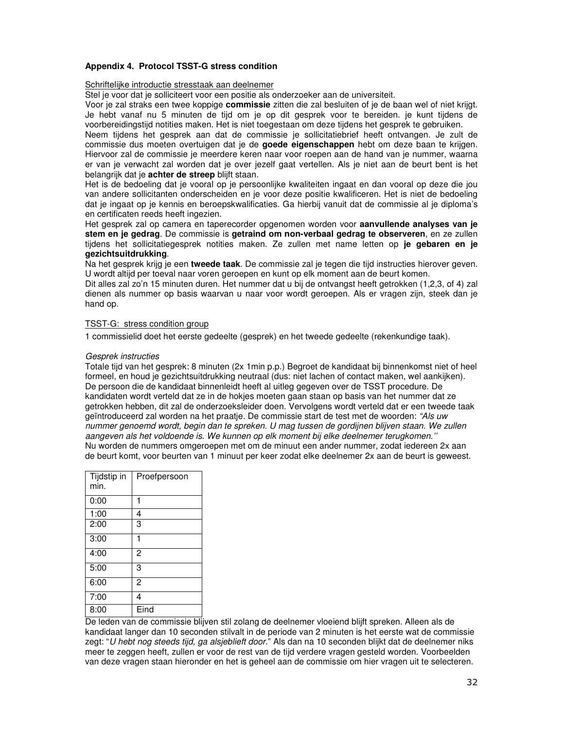# **Appendix 4. Protocol TSST-G stress condition**

# Schriftelijke introductie stresstaak aan deelnemer

Stel je voor dat je solliciteert voor een positie als onderzoeker aan de universiteit.

Voor je zal straks een twee koppige **commissie** zitten die zal besluiten of je de baan wel of niet krijgt. Je hebt vanaf nu 5 minuten de tijd om je op dit gesprek voor te bereiden. je kunt tijdens de voorbereidingstijd notities maken. Het is niet toegestaan om deze tijdens het gesprek te gebruiken.

Neem tijdens het gesprek aan dat de commissie je sollicitatiebrief heeft ontvangen. Je zult de commissie dus moeten overtuigen dat je de **goede eigenschappen** hebt om deze baan te krijgen. Hiervoor zal de commissie je meerdere keren naar voor roepen aan de hand van je nummer, waarna er van je verwacht zal worden dat je over jezelf gaat vertellen. Als je niet aan de beurt bent is het belangrijk dat je **achter de streep** blijft staan.

Het is de bedoeling dat je vooral op je persoonlijke kwaliteiten ingaat en dan vooral op deze die jou van andere sollicitanten onderscheiden en je voor deze positie kwalificeren. Het is niet de bedoeling dat je ingaat op je kennis en beroepskwalificaties. Ga hierbij vanuit dat de commissie al je diploma's en certificaten reeds heeft ingezien.

Het gesprek zal op camera en taperecorder opgenomen worden voor **aanvullende analyses van je stem en je gedrag**. De commissie is **getraind om non-verbaal gedrag te observeren**, en ze zullen tijdens het sollicitatiegesprek notities maken. Ze zullen met name letten op **je gebaren en je gezichtsuitdrukking**.

Na het gesprek krijg je een **tweede taak**. De commissie zal je tegen die tijd instructies hierover geven. U wordt altijd per toeval naar voren geroepen en kunt op elk moment aan de beurt komen.

Dit alles zal zo'n 15 minuten duren. Het nummer dat u bij de ontvangst heeft getrokken (1,2,3, of 4) zal dienen als nummer op basis waarvan u naar voor wordt geroepen. Als er vragen zijn, steek dan je hand op.

# TSST-G: stress condition group

1 commissielid doet het eerste gedeelte (gesprek) en het tweede gedeelte (rekenkundige taak).

# Gesprek instructies

Totale tijd van het gesprek: 8 minuten (2x 1min p.p.) Begroet de kandidaat bij binnenkomst niet of heel formeel, en houd je gezichtsuitdrukking neutraal (dus: niet lachen of contact maken, wel aankijken). De persoon die de kandidaat binnenleidt heeft al uitleg gegeven over de TSST procedure. De kandidaten wordt verteld dat ze in de hokjes moeten gaan staan op basis van het nummer dat ze getrokken hebben, dit zal de onderzoeksleider doen. Vervolgens wordt verteld dat er een tweede taak geïntroduceerd zal worden na het praatje. De commissie start de test met de woorden: "Als uw nummer genoemd wordt, begin dan te spreken. U mag tussen de gordijnen blijven staan. We zullen aangeven als het voldoende is. We kunnen op elk moment bij elke deelnemer terugkomen.'' Nu worden de nummers omgeroepen met om de minuut een ander nummer, zodat iedereen 2x aan de beurt komt, voor beurten van 1 minuut per keer zodat elke deelnemer 2x aan de beurt is geweest.

| Tijdstip in<br>min. | Proefpersoon   |
|---------------------|----------------|
| 0:00                | 1              |
| 1:00                | 4              |
| 2:00                | 3              |
| 3:00                | 1              |
| 4:00                | 2              |
| 5:00                | 3              |
| 6:00                | $\overline{2}$ |
| 7:00                | 4              |
| 8:00                | Eind           |

De leden van de commissie blijven stil zolang de deelnemer vloeiend blijft spreken. Alleen als de kandidaat langer dan 10 seconden stilvalt in de periode van 2 minuten is het eerste wat de commissie zegt: "U hebt nog steeds tijd, ga alsjeblieft door." Als dan na 10 seconden blijkt dat de deelnemer niks meer te zeggen heeft, zullen er voor de rest van de tijd verdere vragen gesteld worden. Voorbeelden van deze vragen staan hieronder en het is geheel aan de commissie om hier vragen uit te selecteren.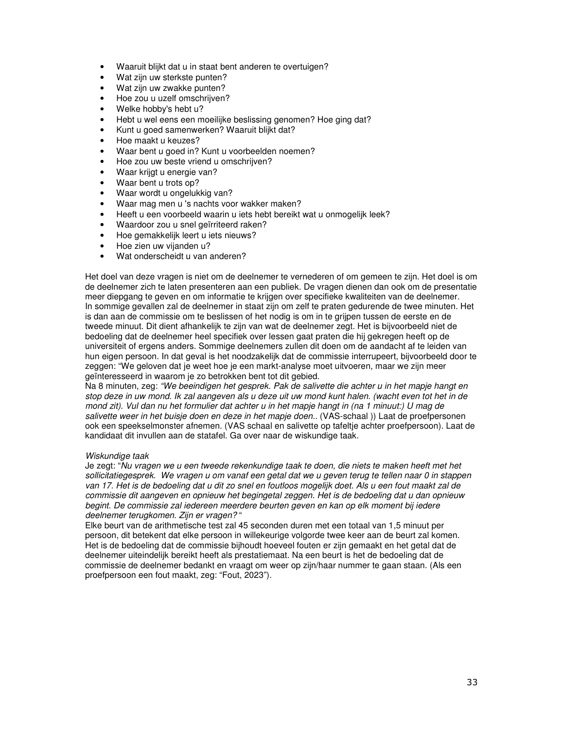- Waaruit blijkt dat u in staat bent anderen te overtuigen?
- Wat zijn uw sterkste punten?
- Wat zijn uw zwakke punten?
- Hoe zou u uzelf omschrijven?
- Welke hobby's hebt u?
- Hebt u wel eens een moeilijke beslissing genomen? Hoe ging dat?
- Kunt u goed samenwerken? Waaruit blijkt dat?
- Hoe maakt u keuzes?
- Waar bent u goed in? Kunt u voorbeelden noemen?
- Hoe zou uw beste vriend u omschrijven?
- Waar krijgt u energie van?
- Waar bent u trots op?
- Waar wordt u ongelukkig van?
- Waar mag men u 's nachts voor wakker maken?
- Heeft u een voorbeeld waarin u iets hebt bereikt wat u onmogelijk leek?
- Waardoor zou u snel geïrriteerd raken?
- Hoe gemakkelijk leert u iets nieuws?
- Hoe zien uw vijanden u?
- Wat onderscheidt u van anderen?

Het doel van deze vragen is niet om de deelnemer te vernederen of om gemeen te zijn. Het doel is om de deelnemer zich te laten presenteren aan een publiek. De vragen dienen dan ook om de presentatie meer diepgang te geven en om informatie te krijgen over specifieke kwaliteiten van de deelnemer. In sommige gevallen zal de deelnemer in staat zijn om zelf te praten gedurende de twee minuten. Het is dan aan de commissie om te beslissen of het nodig is om in te grijpen tussen de eerste en de tweede minuut. Dit dient afhankelijk te zijn van wat de deelnemer zegt. Het is bijvoorbeeld niet de bedoeling dat de deelnemer heel specifiek over lessen gaat praten die hij gekregen heeft op de universiteit of ergens anders. Sommige deelnemers zullen dit doen om de aandacht af te leiden van hun eigen persoon. In dat geval is het noodzakelijk dat de commissie interrupeert, bijvoorbeeld door te zeggen: "We geloven dat je weet hoe je een markt-analyse moet uitvoeren, maar we zijn meer geïnteresseerd in waarom je zo betrokken bent tot dit gebied.

Na 8 minuten, zeg: "We beeindigen het gesprek. Pak de salivette die achter u in het mapje hangt en stop deze in uw mond. Ik zal aangeven als u deze uit uw mond kunt halen. (wacht even tot het in de mond zit). Vul dan nu het formulier dat achter u in het mapje hangt in (na 1 minuut:) U mag de salivette weer in het buisje doen en deze in het mapje doen.. (VAS-schaal )) Laat de proefpersonen ook een speekselmonster afnemen. (VAS schaal en salivette op tafeltje achter proefpersoon). Laat de kandidaat dit invullen aan de statafel. Ga over naar de wiskundige taak.

# Wiskundige taak

Je zegt: "Nu vragen we u een tweede rekenkundige taak te doen, die niets te maken heeft met het sollicitatiegesprek. We vragen u om vanaf een getal dat we u geven terug te tellen naar 0 in stappen van 17. Het is de bedoeling dat u dit zo snel en foutloos mogelijk doet. Als u een fout maakt zal de commissie dit aangeven en opnieuw het begingetal zeggen. Het is de bedoeling dat u dan opnieuw begint. De commissie zal iedereen meerdere beurten geven en kan op elk moment bij iedere deelnemer terugkomen. Zijn er vragen? "

Elke beurt van de arithmetische test zal 45 seconden duren met een totaal van 1,5 minuut per persoon, dit betekent dat elke persoon in willekeurige volgorde twee keer aan de beurt zal komen. Het is de bedoeling dat de commissie bijhoudt hoeveel fouten er zijn gemaakt en het getal dat de deelnemer uiteindelijk bereikt heeft als prestatiemaat. Na een beurt is het de bedoeling dat de commissie de deelnemer bedankt en vraagt om weer op zijn/haar nummer te gaan staan. (Als een proefpersoon een fout maakt, zeg: "Fout, 2023").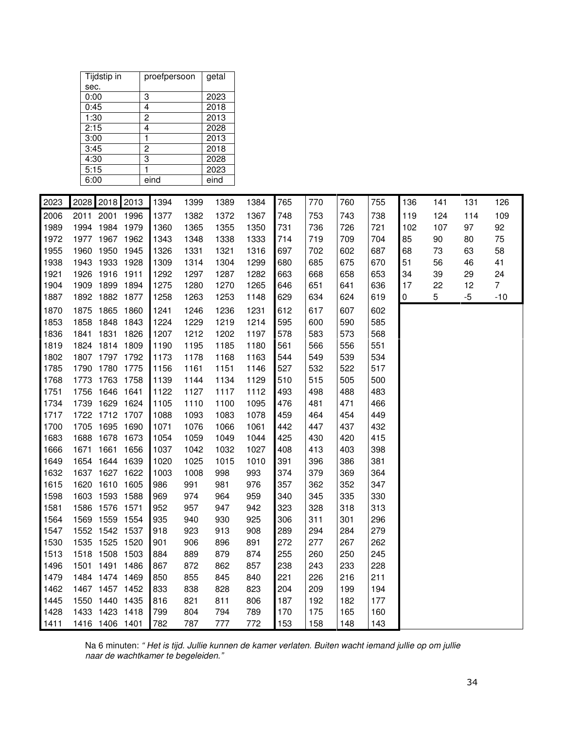| Tijdstip in | proefpersoon | getal |
|-------------|--------------|-------|
| sec.        |              |       |
| 0:00        | 3            | 2023  |
| 0:45        | 4            | 2018  |
| 1:30        | 2            | 2013  |
| 2:15        | 4            | 2028  |
| 3:00        |              | 2013  |
| 3:45        | 2            | 2018  |
| 4:30        | 3            | 2028  |
| 5:15        |              | 2023  |
| 6:00        | eind         | eind  |

| 2023 | 2028 | 2018 2013      |      | 1394 | 1399 | 1389 | 1384 | 765 | 770 | 760 | 755 | 136       | 141 | 131  | 126            |
|------|------|----------------|------|------|------|------|------|-----|-----|-----|-----|-----------|-----|------|----------------|
| 2006 | 2011 | 2001 1996      |      | 1377 | 1382 | 1372 | 1367 | 748 | 753 | 743 | 738 | 119       | 124 | 114  | 109            |
| 1989 | 1994 | 1984 1979      |      | 1360 | 1365 | 1355 | 1350 | 731 | 736 | 726 | 721 | 102       | 107 | 97   | 92             |
| 1972 | 1977 | 1967 1962      |      | 1343 | 1348 | 1338 | 1333 | 714 | 719 | 709 | 704 | 85        | 90  | 80   | 75             |
| 1955 | 1960 | 1950 1945      |      | 1326 | 1331 | 1321 | 1316 | 697 | 702 | 602 | 687 | 68        | 73  | 63   | 58             |
| 1938 | 1943 | 1933 1928      |      | 1309 | 1314 | 1304 | 1299 | 680 | 685 | 675 | 670 | 51        | 56  | 46   | 41             |
| 1921 | 1926 | 1916 1911      |      | 1292 | 1297 | 1287 | 1282 | 663 | 668 | 658 | 653 | 34        | 39  | 29   | 24             |
| 1904 |      | 1909 1899 1894 |      | 1275 | 1280 | 1270 | 1265 | 646 | 651 | 641 | 636 | 17        | 22  | 12   | $\overline{7}$ |
| 1887 |      | 1892 1882 1877 |      | 1258 | 1263 | 1253 | 1148 | 629 | 634 | 624 | 619 | $\pmb{0}$ | 5   | $-5$ | $-10$          |
| 1870 | 1875 | 1865           | 1860 | 1241 | 1246 | 1236 | 1231 | 612 | 617 | 607 | 602 |           |     |      |                |
| 1853 | 1858 | 1848           | 1843 | 1224 | 1229 | 1219 | 1214 | 595 | 600 | 590 | 585 |           |     |      |                |
| 1836 | 1841 | 1831           | 1826 | 1207 | 1212 | 1202 | 1197 | 578 | 583 | 573 | 568 |           |     |      |                |
| 1819 | 1824 | 1814           | 1809 | 1190 | 1195 | 1185 | 1180 | 561 | 566 | 556 | 551 |           |     |      |                |
| 1802 | 1807 | 1797 1792      |      | 1173 | 1178 | 1168 | 1163 | 544 | 549 | 539 | 534 |           |     |      |                |
| 1785 | 1790 | 1780           | 1775 | 1156 | 1161 | 1151 | 1146 | 527 | 532 | 522 | 517 |           |     |      |                |
| 1768 | 1773 | 1763           | 1758 | 1139 | 1144 | 1134 | 1129 | 510 | 515 | 505 | 500 |           |     |      |                |
| 1751 | 1756 | 1646           | 1641 | 1122 | 1127 | 1117 | 1112 | 493 | 498 | 488 | 483 |           |     |      |                |
| 1734 | 1739 | 1629           | 1624 | 1105 | 1110 | 1100 | 1095 | 476 | 481 | 471 | 466 |           |     |      |                |
| 1717 |      | 1722 1712 1707 |      | 1088 | 1093 | 1083 | 1078 | 459 | 464 | 454 | 449 |           |     |      |                |
| 1700 | 1705 | 1695           | 1690 | 1071 | 1076 | 1066 | 1061 | 442 | 447 | 437 | 432 |           |     |      |                |
| 1683 | 1688 | 1678           | 1673 | 1054 | 1059 | 1049 | 1044 | 425 | 430 | 420 | 415 |           |     |      |                |
| 1666 | 1671 | 1661           | 1656 | 1037 | 1042 | 1032 | 1027 | 408 | 413 | 403 | 398 |           |     |      |                |
| 1649 | 1654 | 1644           | 1639 | 1020 | 1025 | 1015 | 1010 | 391 | 396 | 386 | 381 |           |     |      |                |
| 1632 | 1637 | 1627           | 1622 | 1003 | 1008 | 998  | 993  | 374 | 379 | 369 | 364 |           |     |      |                |
| 1615 | 1620 | 1610           | 1605 | 986  | 991  | 981  | 976  | 357 | 362 | 352 | 347 |           |     |      |                |
| 1598 | 1603 | 1593           | 1588 | 969  | 974  | 964  | 959  | 340 | 345 | 335 | 330 |           |     |      |                |
| 1581 | 1586 | 1576           | 1571 | 952  | 957  | 947  | 942  | 323 | 328 | 318 | 313 |           |     |      |                |
| 1564 | 1569 | 1559           | 1554 | 935  | 940  | 930  | 925  | 306 | 311 | 301 | 296 |           |     |      |                |
| 1547 |      | 1552 1542 1537 |      | 918  | 923  | 913  | 908  | 289 | 294 | 284 | 279 |           |     |      |                |
| 1530 | 1535 | 1525           | 1520 | 901  | 906  | 896  | 891  | 272 | 277 | 267 | 262 |           |     |      |                |
| 1513 | 1518 | 1508           | 1503 | 884  | 889  | 879  | 874  | 255 | 260 | 250 | 245 |           |     |      |                |
| 1496 | 1501 | 1491           | 1486 | 867  | 872  | 862  | 857  | 238 | 243 | 233 | 228 |           |     |      |                |
| 1479 | 1484 | 1474           | 1469 | 850  | 855  | 845  | 840  | 221 | 226 | 216 | 211 |           |     |      |                |
| 1462 | 1467 | 1457           | 1452 | 833  | 838  | 828  | 823  | 204 | 209 | 199 | 194 |           |     |      |                |
| 1445 | 1550 | 1440           | 1435 | 816  | 821  | 811  | 806  | 187 | 192 | 182 | 177 |           |     |      |                |
| 1428 | 1433 | 1423           | 1418 | 799  | 804  | 794  | 789  | 170 | 175 | 165 | 160 |           |     |      |                |
| 1411 |      | 1416 1406 1401 |      | 782  | 787  | 777  | 772  | 153 | 158 | 148 | 143 |           |     |      |                |

Na 6 minuten: " Het is tijd. Jullie kunnen de kamer verlaten. Buiten wacht iemand jullie op om jullie naar de wachtkamer te begeleiden."